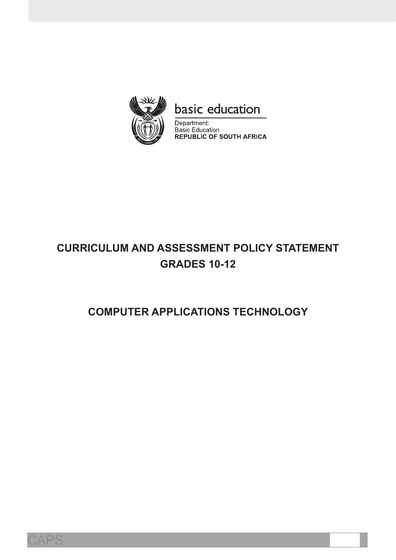

# basic education

Department: **Basic Education REPUBLIC OF SOUTH AFRICA** 

# **Curriculum and Assessment Policy Statement GRADES 10-12**

# **COMPUTER APPLICATIONS TECHNOLOGY**

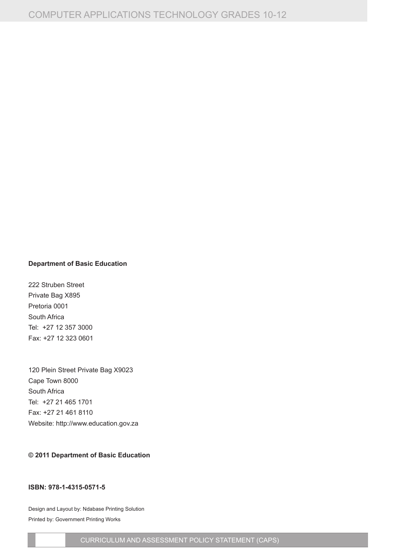#### **Department of Basic Education**

222 Struben Street Private Bag X895 Pretoria 0001 South Africa Tel: +27 12 357 3000 Fax: +27 12 323 0601

120 Plein Street Private Bag X9023 Cape Town 8000 South Africa Tel: +27 21 465 1701 Fax: +27 21 461 8110 Website: http://www.education.gov.za

### **© 2011 Department of Basic Education**

#### **Isbn: 978-1-4315-0571-5**

Design and Layout by: Ndabase Printing Solution Printed by: Government Printing Works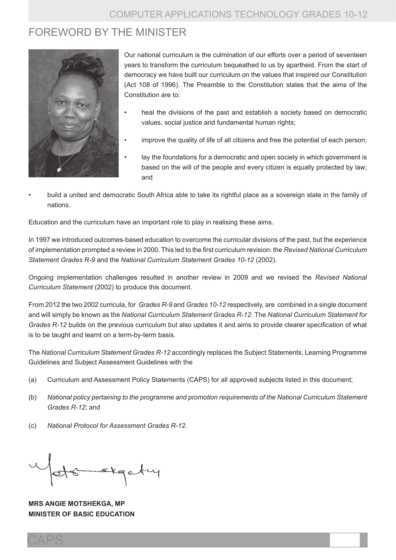

Our national curriculum is the culmination of our efforts over a period of seventeen years to transform the curriculum bequeathed to us by apartheid. From the start of democracy we have built our curriculum on the values that inspired our Constitution (Act 108 of 1996). The Preamble to the Constitution states that the aims of the Constitution are to:

- heal the divisions of the past and establish a society based on democratic values, social justice and fundamental human rights;
- improve the quality of life of all citizens and free the potential of each person;
- lay the foundations for a democratic and open society in which government is based on the will of the people and every citizen is equally protected by law; and
- build a united and democratic South Africa able to take its rightful place as a sovereign state in the family of nations.

Education and the curriculum have an important role to play in realising these aims.

In 1997 we introduced outcomes-based education to overcome the curricular divisions of the past, but the experience of implementation prompted a review in 2000. This led to the first curriculum revision: the *Revised National Curriculum Statement Grades R-9* and the *National Curriculum Statement Grades 10-12* (2002).

Ongoing implementation challenges resulted in another review in 2009 and we revised the *Revised National Curriculum Statement* (2002) to produce this document.

From 2012 the two 2002 curricula, for *Grades R-9* and *Grades 10-12* respectively, are combined in a single document and will simply be known as the *National Curriculum Statement Grades R-12.* the *National Curriculum Statement for Grades R-12* builds on the previous curriculum but also updates it and aims to provide clearer specification of what is to be taught and learnt on a term-by-term basis.

the *National Curriculum Statement Grades R-12* accordingly replaces the subject statements, Learning Programme Guidelines and subject Assessment Guidelines with the

- (a) Curriculum and Assessment Policy statements (CAPs) for all approved subjects listed in this document;
- (b) *National policy pertaining to the programme and promotion requirements of the National Curriculum Statement Grades R-12*; and
- (c) *National Protocol for Assessment Grades R-12.*

**MRS ANGIE MOTSHEKGA, MP MINISTER OF BASIC EDUCATION**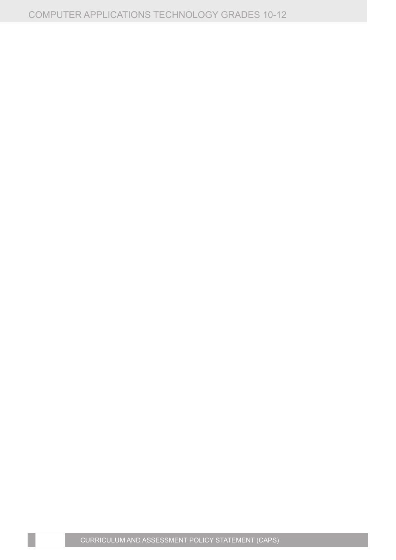CURRICULUM AND ASSESSMENT POLICY STATEMENT (CAPS)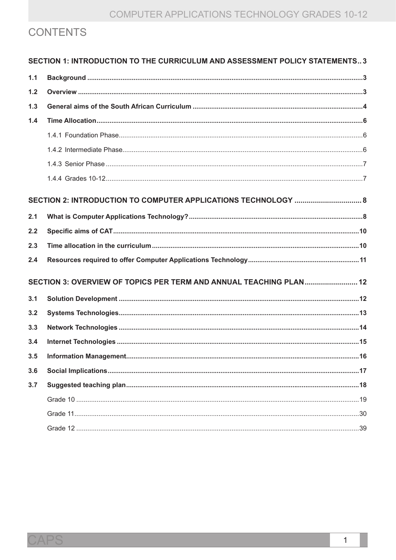# **CONTENTS**

|     | SECTION 1: INTRODUCTION TO THE CURRICULUM AND ASSESSMENT POLICY STATEMENTS3 |
|-----|-----------------------------------------------------------------------------|
| 1.1 |                                                                             |
| 1.2 |                                                                             |
| 1.3 |                                                                             |
| 1.4 |                                                                             |
|     |                                                                             |
|     |                                                                             |
|     |                                                                             |
|     |                                                                             |
|     |                                                                             |
| 2.1 |                                                                             |
| 2.2 |                                                                             |
| 2.3 |                                                                             |
| 2.4 |                                                                             |
|     | SECTION 3: OVERVIEW OF TOPICS PER TERM AND ANNUAL TEACHING PLAN 12          |
| 3.1 |                                                                             |
| 3.2 |                                                                             |
| 3.3 |                                                                             |
| 3.4 |                                                                             |
| 3.5 |                                                                             |
| 3.6 |                                                                             |
| 3.7 |                                                                             |
|     |                                                                             |
|     |                                                                             |
|     |                                                                             |

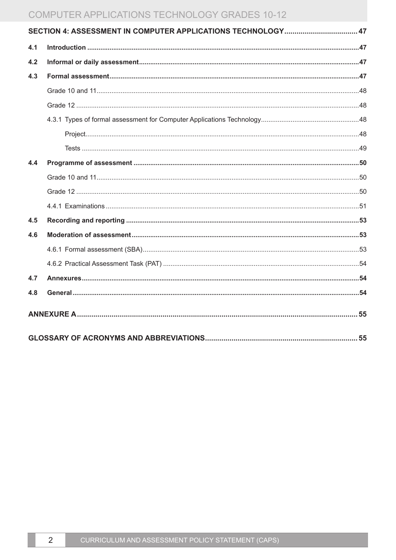| 4.1 |  |  |  |
|-----|--|--|--|
| 4.2 |  |  |  |
| 4.3 |  |  |  |
|     |  |  |  |
|     |  |  |  |
|     |  |  |  |
|     |  |  |  |
|     |  |  |  |
| 4.4 |  |  |  |
|     |  |  |  |
|     |  |  |  |
|     |  |  |  |
| 4.5 |  |  |  |
| 4.6 |  |  |  |
|     |  |  |  |
|     |  |  |  |
| 4.7 |  |  |  |
| 4.8 |  |  |  |
|     |  |  |  |
|     |  |  |  |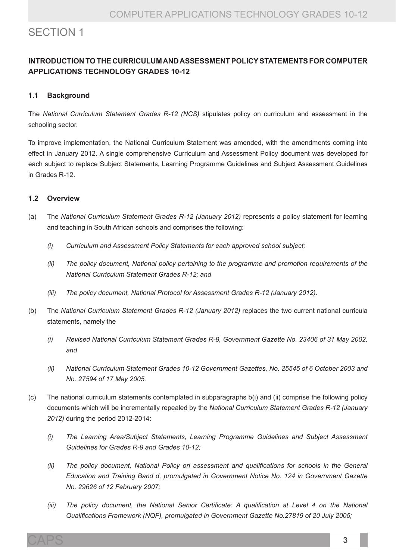# sECTION 1

### **INTRODUCTION TO THE Curriculum and Assessment Policy StatementSfor COMPUTER APPLICATIONS TECHNOLOGY gradeS 10-12**

### **1.1 Background**

The *National Curriculum Statement Grades R-12 (NCS)* stipulates policy on curriculum and assessment in the schooling sector.

To improve implementation, the National Curriculum Statement was amended, with the amendments coming into effect in January 2012. A single comprehensive Curriculum and Assessment Policy document was developed for each subject to replace Subject Statements, Learning Programme Guidelines and Subject Assessment Guidelines in Grades R-12.

### **1.2 Overview**

- (a) The *National Curriculum Statement Grades R-12 (January 2012)* represents a policy statement for learning and teaching in South African schools and comprises the following:
	- *(i) Curriculum and Assessment Policy Statements for each approved school subject;*
	- *(ii) The policy document, National policy pertaining to the programme and promotion requirements of the National Curriculum Statement Grades R-12; and*
	- *(iii) The policy document, National Protocol for Assessment Grades R-12 (January 2012).*
- (b) The *National Curriculum Statement Grades R-12 (January 2012)* replaces the two current national curricula statements, namely the
	- *(i) Revised National Curriculum Statement Grades R-9, Government Gazette No. 23406 of 31 May 2002, and*
	- *(ii) National Curriculum Statement Grades 10-12 Government Gazettes, No. 25545 of 6 October 2003 and No. 27594 of 17 May 2005.*
- (c) The national curriculum statements contemplated in subparagraphs b(i) and (ii) comprise the following policy documents which will be incrementally repealed by the *National Curriculum Statement Grades R-12 (January 2012)* during the period 2012-2014:
	- *(i) The Learning Area/Subject Statements, Learning Programme Guidelines and Subject Assessment Guidelines for Grades R-9 and Grades 10-12;*
	- *(ii) The policy document, National Policy on assessment and qualifications for schools in the General Education and Training Band d, promulgated in Government Notice No. 124 in Government Gazette No. 29626 of 12 February 2007;*
	- *(iii) The policy document, the National Senior Certificate: A qualification at Level 4 on the National Qualifications Framework (NQF), promulgated in Government Gazette No.27819 of 20 July 2005;*

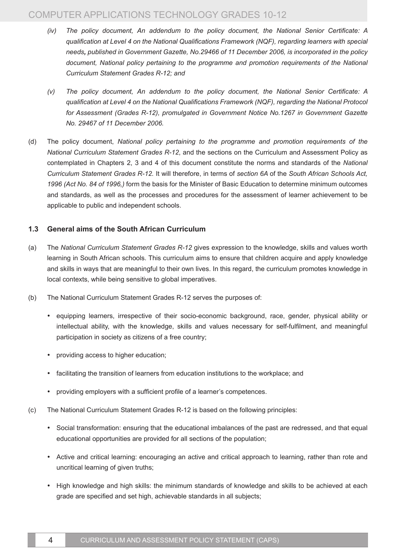- *(iv) The policy document, An addendum to the policy document, the National Senior Certificate: A qualification at Level 4 on the National Qualifications Framework (NQF), regarding learners with special needs, published in Government Gazette, No.29466 of 11 December 2006, is incorporated in the policy*  document. National policy pertaining to the programme and promotion requirements of the National *Curriculum Statement Grades R-12; and*
- *(v) The policy document, An addendum to the policy document, the National Senior Certificate: A qualification at Level 4 on the National Qualifications Framework (NQF), regarding the National Protocol for Assessment (Grades R-12), promulgated in Government Notice No.1267 in Government Gazette No. 29467 of 11 December 2006.*
- (d) The policy document, *National policy pertaining to the programme and promotion requirements of the National Curriculum Statement Grades R-12*, and the sections on the Curriculum and Assessment Policy as contemplated in Chapters 2, 3 and 4 of this document constitute the norms and standards of the *National Curriculum Statement Grades R-12.* It will therefore, in terms of *section 6A* of the *South African Schools Act, 1996 (Act No. 84 of 1996,)* form the basis for the Minister of Basic Education to determine minimum outcomes and standards, as well as the processes and procedures for the assessment of learner achievement to be applicable to public and independent schools.

### **1.3 General aims of the South African Curriculum**

- (a) The *National Curriculum Statement Grades R-12* gives expression to the knowledge, skills and values worth learning in South African schools. This curriculum aims to ensure that children acquire and apply knowledge and skills in ways that are meaningful to their own lives. In this regard, the curriculum promotes knowledge in local contexts, while being sensitive to global imperatives.
- (b) The National Curriculum Statement Grades R-12 serves the purposes of:
	- • equipping learners, irrespective of their socio-economic background, race, gender, physical ability or intellectual ability, with the knowledge, skills and values necessary for self-fulfilment, and meaningful participation in society as citizens of a free country;
	- providing access to higher education;
	- facilitating the transition of learners from education institutions to the workplace; and
	- providing employers with a sufficient profile of a learner's competences.
- (c) The National Curriculum Statement Grades R-12 is based on the following principles:
	- • Social transformation: ensuring that the educational imbalances of the past are redressed, and that equal educational opportunities are provided for all sections of the population;
	- • Active and critical learning: encouraging an active and critical approach to learning, rather than rote and uncritical learning of given truths;
	- • High knowledge and high skills: the minimum standards of knowledge and skills to be achieved at each grade are specified and set high, achievable standards in all subjects;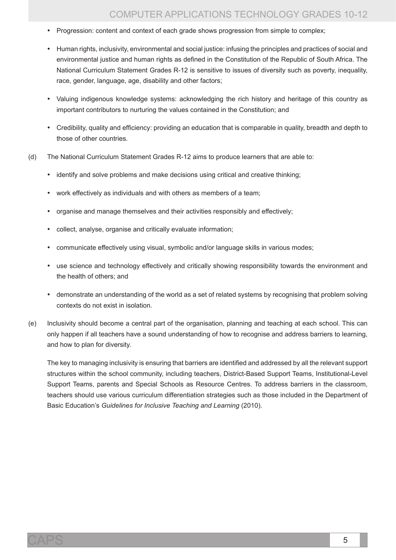- Progression: content and context of each grade shows progression from simple to complex;
- • Human rights, inclusivity, environmental and social justice: infusing the principles and practices of social and environmental justice and human rights as defined in the Constitution of the Republic of South Africa. The National Curriculum Statement Grades R-12 is sensitive to issues of diversity such as poverty, inequality, race, gender, language, age, disability and other factors;
- • Valuing indigenous knowledge systems: acknowledging the rich history and heritage of this country as important contributors to nurturing the values contained in the Constitution; and
- • Credibility, quality and efficiency: providing an education that is comparable in quality, breadth and depth to those of other countries.
- (d) The National Curriculum Statement Grades R-12 aims to produce learners that are able to:
	- identify and solve problems and make decisions using critical and creative thinking;
	- work effectively as individuals and with others as members of a team;
	- organise and manage themselves and their activities responsibly and effectively:
	- collect, analyse, organise and critically evaluate information;
	- communicate effectively using visual, symbolic and/or language skills in various modes;
	- • use science and technology effectively and critically showing responsibility towards the environment and the health of others; and
	- • demonstrate an understanding of the world as a set of related systems by recognising that problem solving contexts do not exist in isolation.
- (e) Inclusivity should become a central part of the organisation, planning and teaching at each school. This can only happen if all teachers have a sound understanding of how to recognise and address barriers to learning, and how to plan for diversity.

The key to managing inclusivity is ensuring that barriers are identified and addressed by all the relevant support structures within the school community, including teachers, District-Based Support Teams, Institutional-Level Support Teams, parents and Special Schools as Resource Centres. To address barriers in the classroom, teachers should use various curriculum differentiation strategies such as those included in the Department of Basic Education's *Guidelines for Inclusive Teaching and Learning* (2010).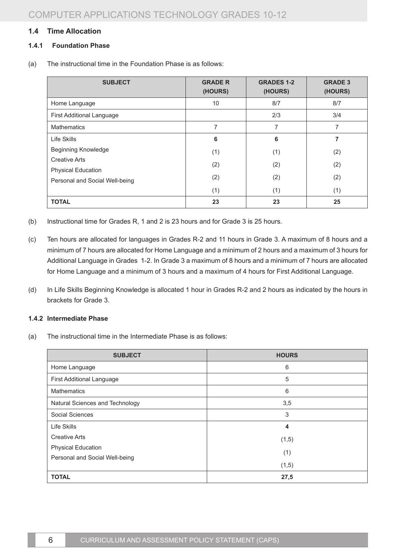### **1.4 Time Allocation**

### **1.4.1 Foundation Phase**

(a) The instructional time in the Foundation Phase is as follows:

| <b>SUBJECT</b>                                              | <b>GRADE R</b><br>(HOURS) | <b>GRADES 1-2</b><br>(HOURS) | <b>GRADE 3</b><br>(HOURS) |
|-------------------------------------------------------------|---------------------------|------------------------------|---------------------------|
| Home Language                                               | 10                        | 8/7                          | 8/7                       |
| <b>First Additional Language</b>                            |                           | 2/3                          | 3/4                       |
| <b>Mathematics</b>                                          | 7                         | 7                            | 7                         |
| Life Skills                                                 | 6                         | 6                            | 7                         |
| <b>Beginning Knowledge</b>                                  | (1)                       | (1)                          | (2)                       |
| Creative Arts                                               | (2)                       | (2)                          | (2)                       |
| <b>Physical Education</b><br>Personal and Social Well-being | (2)                       | (2)                          | (2)                       |
|                                                             | (1)                       | (1)                          | (1)                       |
| <b>TOTAL</b>                                                | 23                        | 23                           | 25                        |

- (b) Instructional time for Grades R, 1 and 2 is 23 hours and for Grade 3 is 25 hours.
- (c) Ten hours are allocated for languages in Grades R-2 and 11 hours in Grade 3. A maximum of 8 hours and a minimum of 7 hours are allocated for Home Language and a minimum of 2 hours and a maximum of 3 hours for Additional Language in Grades 1-2. In Grade 3 a maximum of 8 hours and a minimum of 7 hours are allocated for Home Language and a minimum of 3 hours and a maximum of 4 hours for First Additional Language.
- (d) In Life Skills Beginning Knowledge is allocated 1 hour in Grades R-2 and 2 hours as indicated by the hours in brackets for Grade 3.

### **1.4.2 Intermediate Phase**

(a) The instructional time in the Intermediate Phase is as follows:

| <b>SUBJECT</b>                   | <b>HOURS</b> |
|----------------------------------|--------------|
| Home Language                    | 6            |
| <b>First Additional Language</b> | 5            |
| <b>Mathematics</b>               | 6            |
| Natural Sciences and Technology  | 3,5          |
| Social Sciences                  | 3            |
| Life Skills                      | 4            |
| <b>Creative Arts</b>             | (1,5)        |
| <b>Physical Education</b>        | (1)          |
| Personal and Social Well-being   | (1,5)        |
| <b>TOTAL</b>                     | 27,5         |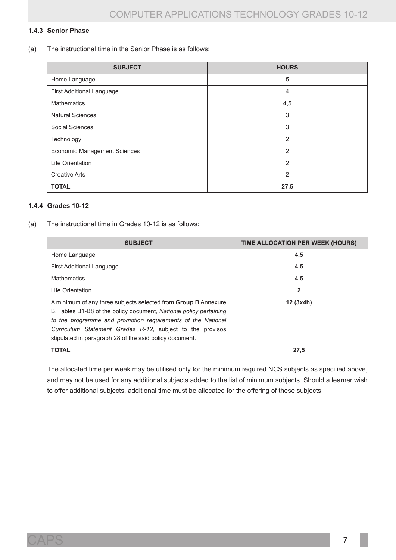### **1.4.3 Senior Phase**

(a) The instructional time in the Senior Phase is as follows:

| <b>SUBJECT</b>                      | <b>HOURS</b>   |
|-------------------------------------|----------------|
| Home Language                       | 5              |
| <b>First Additional Language</b>    | 4              |
| <b>Mathematics</b>                  | 4,5            |
| <b>Natural Sciences</b>             | 3              |
| Social Sciences                     | 3              |
| Technology                          | 2              |
| <b>Economic Management Sciences</b> | 2              |
| Life Orientation                    | $\overline{2}$ |
| <b>Creative Arts</b>                | 2              |
| <b>TOTAL</b>                        | 27,5           |

### **1.4.4 Grades 10-12**

(a) The instructional time in Grades 10-12 is as follows:

| <b>SUBJECT</b>                                                                                                                                                                                                                                                                                                                     | TIME ALLOCATION PER WEEK (HOURS) |
|------------------------------------------------------------------------------------------------------------------------------------------------------------------------------------------------------------------------------------------------------------------------------------------------------------------------------------|----------------------------------|
| Home Language                                                                                                                                                                                                                                                                                                                      | 4.5                              |
| <b>First Additional Language</b>                                                                                                                                                                                                                                                                                                   | 4.5                              |
| <b>Mathematics</b>                                                                                                                                                                                                                                                                                                                 | 4.5                              |
| Life Orientation                                                                                                                                                                                                                                                                                                                   | $\overline{2}$                   |
| A minimum of any three subjects selected from <b>Group B</b> Annexure<br>B, Tables B1-B8 of the policy document, National policy pertaining<br>to the programme and promotion requirements of the National<br>Curriculum Statement Grades R-12, subject to the provisos<br>stipulated in paragraph 28 of the said policy document. | 12(3x4h)                         |
| <b>TOTAL</b>                                                                                                                                                                                                                                                                                                                       | 27,5                             |

The allocated time per week may be utilised only for the minimum required NCS subjects as specified above, and may not be used for any additional subjects added to the list of minimum subjects. Should a learner wish to offer additional subjects, additional time must be allocated for the offering of these subjects.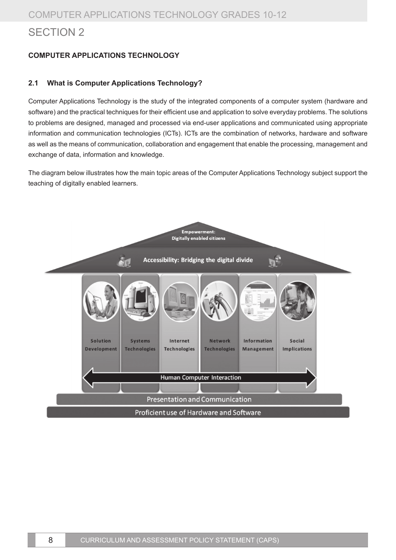# **SECTION 2**

### **Computer Applications Technology**

### **2.1 What is Computer Applications Technology?**

Computer Applications Technology is the study of the integrated components of a computer system (hardware and software) and the practical techniques for their efficient use and application to solve everyday problems. The solutions to problems are designed, managed and processed via end-user applications and communicated using appropriate information and communication technologies (ICTs). ICTs are the combination of networks, hardware and software as well as the means of communication, collaboration and engagement that enable the processing, management and exchange of data, information and knowledge.

The diagram below illustrates how the main topic areas of the Computer Applications Technology subject support the teaching of digitally enabled learners.

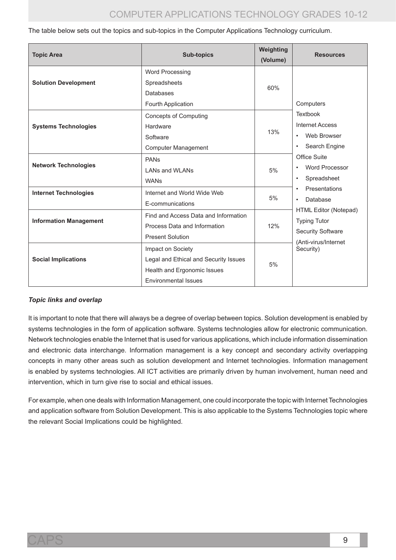The table below sets out the topics and sub-topics in the Computer Applications Technology curriculum.

| <b>Topic Area</b><br><b>Sub-topics</b> |                                                                                                                          | Weighting<br>(Volume) | <b>Resources</b>                                                                                    |  |
|----------------------------------------|--------------------------------------------------------------------------------------------------------------------------|-----------------------|-----------------------------------------------------------------------------------------------------|--|
| <b>Solution Development</b>            | <b>Word Processing</b><br>Spreadsheets<br><b>Databases</b><br>Fourth Application                                         | 60%                   | Computers                                                                                           |  |
| <b>Systems Technologies</b>            | <b>Concepts of Computing</b><br>Hardware<br>Software<br><b>Computer Management</b>                                       | 13%                   | <b>Textbook</b><br><b>Internet Access</b><br>Web Browser<br>$\bullet$<br>Search Engine<br>$\bullet$ |  |
| <b>Network Technologies</b>            | <b>PAN<sub>s</sub></b><br><b>LANs and WLANs</b><br><b>WANs</b>                                                           | 5%                    | <b>Office Suite</b><br><b>Word Processor</b><br>Spreadsheet<br>Presentations                        |  |
| <b>Internet Technologies</b>           | Internet and World Wide Web<br>E-communications                                                                          | 5%                    | Database<br>$\bullet$                                                                               |  |
| <b>Information Management</b>          | Find and Access Data and Information<br>Process Data and Information<br><b>Present Solution</b>                          | 12%                   | HTML Editor (Notepad)<br><b>Typing Tutor</b><br><b>Security Software</b><br>(Anti-virus/Internet)   |  |
| <b>Social Implications</b>             | Impact on Society<br>Legal and Ethical and Security Issues<br>Health and Ergonomic Issues<br><b>Environmental Issues</b> | 5%                    | Security)                                                                                           |  |

### *Topic links and overlap*

It is important to note that there will always be a degree of overlap between topics. Solution development is enabled by systems technologies in the form of application software. Systems technologies allow for electronic communication. Network technologies enable the Internet that is used for various applications, which include information dissemination and electronic data interchange. Information management is a key concept and secondary activity overlapping concepts in many other areas such as solution development and Internet technologies. Information management is enabled by systems technologies. All ICT activities are primarily driven by human involvement, human need and intervention, which in turn give rise to social and ethical issues.

For example, when one deals with Information Management, one could incorporate the topic with Internet Technologies and application software from Solution Development. This is also applicable to the Systems Technologies topic where the relevant Social Implications could be highlighted.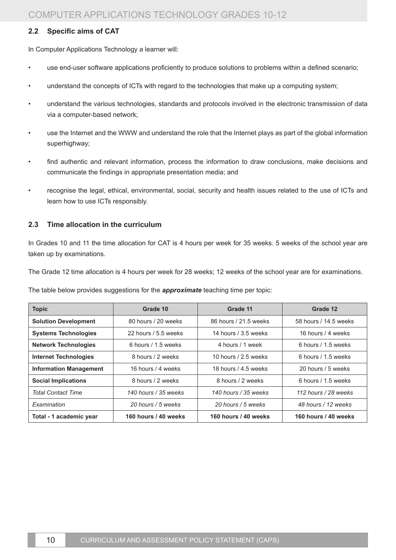### **2.2 Specific aims of CAT**

In Computer Applications Technology a learner will:

- use end-user software applications proficiently to produce solutions to problems within a defined scenario;
- understand the concepts of ICTs with regard to the technologies that make up a computing system;
- understand the various technologies, standards and protocols involved in the electronic transmission of data via a computer-based network;
- use the Internet and the WWW and understand the role that the Internet plays as part of the global information superhighway;
- find authentic and relevant information, process the information to draw conclusions, make decisions and communicate the findings in appropriate presentation media; and
- recognise the legal, ethical, environmental, social, security and health issues related to the use of ICTs and learn how to use ICTs responsibly.

### **2.3 Time allocation in the curriculum**

In Grades 10 and 11 the time allocation for CAT is 4 hours per week for 35 weeks. 5 weeks of the school year are taken up by examinations.

The Grade 12 time allocation is 4 hours per week for 28 weeks; 12 weeks of the school year are for examinations.

The table below provides suggestions for the *approximate* teaching time per topic:

| <b>Topic</b>                  | Grade 10             | Grade 11              | Grade 12              |
|-------------------------------|----------------------|-----------------------|-----------------------|
| <b>Solution Development</b>   | 80 hours / 20 weeks  | 86 hours / 21.5 weeks | 58 hours / 14.5 weeks |
| <b>Systems Technologies</b>   | 22 hours / 5.5 weeks | 14 hours / 3.5 weeks  | 16 hours / 4 weeks    |
| <b>Network Technologies</b>   | 6 hours / 1.5 weeks  | 4 hours / 1 week      | 6 hours / 1.5 weeks   |
| <b>Internet Technologies</b>  | 8 hours / 2 weeks    | 10 hours $/2.5$ weeks | 6 hours / 1.5 weeks   |
| <b>Information Management</b> | 16 hours / 4 weeks   | 18 hours / 4.5 weeks  | 20 hours / 5 weeks    |
| <b>Social Implications</b>    | 8 hours / 2 weeks    | 8 hours / 2 weeks     | 6 hours / 1.5 weeks   |
| <b>Total Contact Time</b>     | 140 hours / 35 weeks | 140 hours / 35 weeks  | 112 hours / 28 weeks  |
| Examination                   | 20 hours / 5 weeks   | 20 hours / 5 weeks    | 48 hours / 12 weeks   |
| Total - 1 academic year       | 160 hours / 40 weeks | 160 hours / 40 weeks  | 160 hours / 40 weeks  |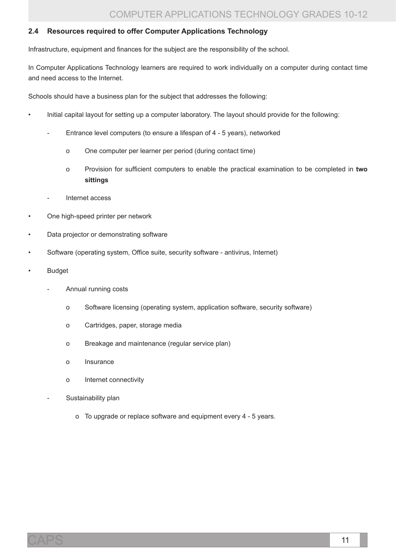### **2.4 Resources required to offer Computer Applications Technology**

Infrastructure, equipment and finances for the subject are the responsibility of the school.

In Computer Applications Technology learners are required to work individually on a computer during contact time and need access to the Internet.

Schools should have a business plan for the subject that addresses the following:

- Initial capital layout for setting up a computer laboratory. The layout should provide for the following:
	- Entrance level computers (to ensure a lifespan of 4 5 years), networked
		- o One computer per learner per period (during contact time)
		- o Provision for sufficient computers to enable the practical examination to be completed in **two sittings**
	- Internet access
- One high-speed printer per network
- Data projector or demonstrating software
- Software (operating system, Office suite, security software antivirus, Internet)
- **Budget** 
	- Annual running costs
		- o Software licensing (operating system, application software, security software)
		- o Cartridges, paper, storage media
		- o Breakage and maintenance (regular service plan)
		- o Insurance
		- o Internet connectivity
	- Sustainability plan
		- o To upgrade or replace software and equipment every 4 5 years.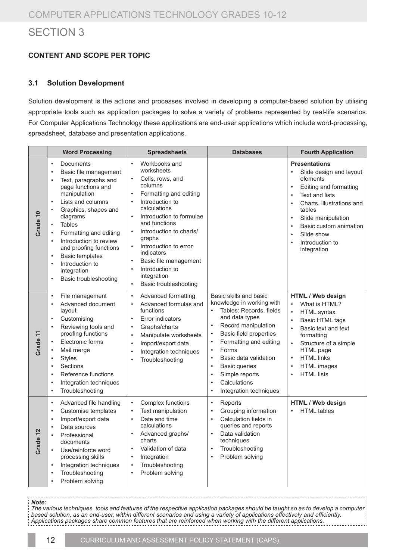# SECTION 3

### **Content and scope per topic**

### **3.1 Solution Development**

Solution development is the actions and processes involved in developing a computer-based solution by utilising appropriate tools such as application packages to solve a variety of problems represented by real-life scenarios. For Computer Applications Technology these applications are end-user applications which include word-processing, spreadsheet, database and presentation applications.

|          | <b>Word Processing</b>                                                                                                                                                                                                                                                                                                                                                                                                                                                                              | <b>Spreadsheets</b>                                                                                                                                                                                                                                                                                                                                                                                                                                                     | <b>Databases</b>                                                                                                                                                                                                                                                                                                                                                                                                                    | <b>Fourth Application</b>                                                                                                                                                                                                                                                                                                    |
|----------|-----------------------------------------------------------------------------------------------------------------------------------------------------------------------------------------------------------------------------------------------------------------------------------------------------------------------------------------------------------------------------------------------------------------------------------------------------------------------------------------------------|-------------------------------------------------------------------------------------------------------------------------------------------------------------------------------------------------------------------------------------------------------------------------------------------------------------------------------------------------------------------------------------------------------------------------------------------------------------------------|-------------------------------------------------------------------------------------------------------------------------------------------------------------------------------------------------------------------------------------------------------------------------------------------------------------------------------------------------------------------------------------------------------------------------------------|------------------------------------------------------------------------------------------------------------------------------------------------------------------------------------------------------------------------------------------------------------------------------------------------------------------------------|
| Grade 10 | <b>Documents</b><br>$\bullet$<br>Basic file management<br>$\bullet$<br>Text, paragraphs and<br>$\bullet$<br>page functions and<br>manipulation<br>Lists and columns<br>$\bullet$<br>Graphics, shapes and<br>$\bullet$<br>diagrams<br><b>Tables</b><br>$\bullet$<br>Formatting and editing<br>$\bullet$<br>Introduction to review<br>$\bullet$<br>and proofing functions<br><b>Basic templates</b><br>$\bullet$<br>Introduction to<br>$\bullet$<br>integration<br>Basic troubleshooting<br>$\bullet$ | Workbooks and<br>$\bullet$<br>worksheets<br>Cells, rows, and<br>$\bullet$<br>columns<br>Formatting and editing<br>$\bullet$<br>Introduction to<br>$\bullet$<br>calculations<br>Introduction to formulae<br>$\bullet$<br>and functions<br>Introduction to charts/<br>$\bullet$<br>graphs<br>Introduction to error<br>$\bullet$<br><b>indicators</b><br>Basic file management<br>$\bullet$<br>Introduction to<br>integration<br><b>Basic troubleshooting</b><br>$\bullet$ |                                                                                                                                                                                                                                                                                                                                                                                                                                     | <b>Presentations</b><br>Slide design and layout<br>elements<br>Editing and formatting<br>$\bullet$<br>Text and lists<br>Charts, illustrations and<br>$\bullet$<br>tables<br>Slide manipulation<br>$\bullet$<br>Basic custom animation<br>$\bullet$<br>Slide show<br>$\bullet$<br>Introduction to<br>$\bullet$<br>integration |
| Grade 11 | File management<br>$\bullet$<br>Advanced document<br>$\bullet$<br>layout<br>Customising<br>$\bullet$<br>Reviewing tools and<br>$\bullet$<br>proofing functions<br>Electronic forms<br>$\bullet$<br>Mail merge<br>$\bullet$<br><b>Styles</b><br>$\bullet$<br>Sections<br>$\bullet$<br>Reference functions<br>$\bullet$<br>Integration techniques<br>$\bullet$<br>Troubleshooting<br>$\bullet$                                                                                                        | Advanced formatting<br>$\bullet$<br>Advanced formulas and<br>$\bullet$<br>functions<br>Error indicators<br>$\bullet$<br>Graphs/charts<br>$\bullet$<br>Manipulate worksheets<br>$\bullet$<br>Import/export data<br>$\bullet$<br>Integration techniques<br>Troubleshooting                                                                                                                                                                                                | Basic skills and basic<br>knowledge in working with<br>Tables: Records, fields<br>$\bullet$<br>and data types<br>Record manipulation<br>$\bullet$<br>Basic field properties<br>$\bullet$<br>Formatting and editing<br>$\bullet$<br>Forms<br>$\bullet$<br>Basic data validation<br>$\bullet$<br><b>Basic queries</b><br>$\bullet$<br>Simple reports<br>$\bullet$<br>Calculations<br>$\bullet$<br>Integration techniques<br>$\bullet$ | HTML / Web design<br>What is HTML?<br>$\bullet$<br>HTML syntax<br>$\bullet$<br><b>Basic HTML tags</b><br>$\bullet$<br>Basic text and text<br>formatting<br>Structure of a simple<br>$\bullet$<br>HTML page<br><b>HTML</b> links<br>$\bullet$<br><b>HTML</b> images<br>$\bullet$<br><b>HTML</b> lists<br>$\bullet$            |
| Grade 12 | Advanced file handling<br>$\bullet$<br>Customise templates<br>$\bullet$<br>Import/export data<br>$\bullet$<br>Data sources<br>$\bullet$<br>Professional<br>$\bullet$<br>documents<br>Use/reinforce word<br>$\bullet$<br>processing skills<br>Integration techniques<br>$\bullet$<br>Troubleshooting<br>$\bullet$<br>Problem solving<br>$\bullet$                                                                                                                                                    | Complex functions<br>$\bullet$<br>Text manipulation<br>$\bullet$<br>Date and time<br>$\bullet$<br>calculations<br>Advanced graphs/<br>charts<br>Validation of data<br>$\bullet$<br>Integration<br>$\bullet$<br>Troubleshooting<br>$\bullet$<br>Problem solving<br>$\bullet$                                                                                                                                                                                             | Reports<br>$\bullet$<br>Grouping information<br>$\bullet$<br>Calculation fields in<br>$\bullet$<br>queries and reports<br>Data validation<br>$\bullet$<br>techniques<br>Troubleshooting<br>$\bullet$<br>Problem solving<br>$\bullet$                                                                                                                                                                                                | HTML / Web design<br><b>HTML</b> tables                                                                                                                                                                                                                                                                                      |

#### *Note:*

The various techniques, tools and features of the respective application packages should be taught so as to develop a computer based solution, as an end-user, within different scenarios and using a variety of applications effectively and efficiently. *Applications packages share common features that are reinforced when working with the different applications.*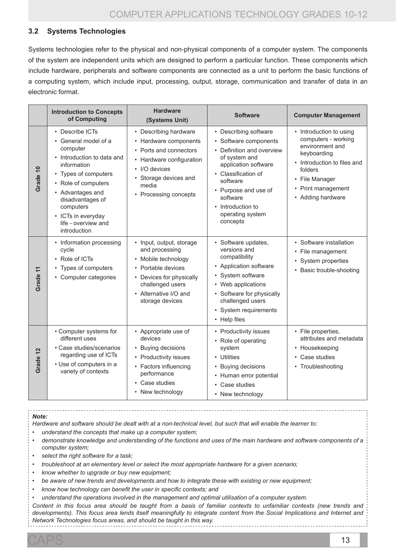### **3.2 Systems Technologies**

Systems technologies refer to the physical and non-physical components of a computer system. The components of the system are independent units which are designed to perform a particular function. These components which include hardware, peripherals and software components are connected as a unit to perform the basic functions of a computing system, which include input, processing, output, storage, communication and transfer of data in an electronic format.

|          | <b>Introduction to Concepts</b><br>of Computing                                                                                                                                                                                                                 | <b>Hardware</b><br>(Systems Unit)                                                                                                                                                   | <b>Software</b>                                                                                                                                                                                                                                | <b>Computer Management</b>                                                                                                                                                              |
|----------|-----------------------------------------------------------------------------------------------------------------------------------------------------------------------------------------------------------------------------------------------------------------|-------------------------------------------------------------------------------------------------------------------------------------------------------------------------------------|------------------------------------------------------------------------------------------------------------------------------------------------------------------------------------------------------------------------------------------------|-----------------------------------------------------------------------------------------------------------------------------------------------------------------------------------------|
| Grade 10 | • Describe ICTs<br>• General model of a<br>computer<br>Introduction to data and<br>information<br>• Types of computers<br>• Role of computers<br>• Advantages and<br>disadvantages of<br>computers<br>• ICTs in everyday<br>life - overview and<br>introduction | • Describing hardware<br>• Hardware components<br>• Ports and connectors<br>• Hardware configuration<br>• I/O devices<br>• Storage devices and<br>media<br>• Processing concepts    | • Describing software<br>• Software components<br>Definition and overview<br>of system and<br>application software<br>• Classification of<br>software<br>• Purpose and use of<br>software<br>• Introduction to<br>operating system<br>concepts | • Introduction to using<br>computers - working<br>environment and<br>keyboarding<br>• Introduction to files and<br>folders<br>• File Manager<br>• Print management<br>• Adding hardware |
| Grade 11 | • Information processing<br>cycle<br>• Role of ICTs<br>Types of computers<br>• Computer categories                                                                                                                                                              | • Input, output, storage<br>and processing<br>• Mobile technology<br>• Portable devices<br>• Devices for physically<br>challenged users<br>• Alternative I/O and<br>storage devices | • Software updates,<br>versions and<br>compatibility<br>• Application software<br>• System software<br>• Web applications<br>• Software for physically<br>challenged users<br>• System requirements<br>• Help files                            | • Software installation<br>• File management<br>• System properties<br>• Basic trouble-shooting                                                                                         |
| Grade 12 | • Computer systems for<br>different uses<br>• Case studies/scenarios<br>regarding use of ICTs<br>• Use of computers in a<br>variety of contexts                                                                                                                 | • Appropriate use of<br>devices<br>• Buying decisions<br>• Productivity issues<br>• Factors influencing<br>performance<br>Case studies<br>• New technology                          | • Productivity issues<br>• Role of operating<br>system<br>• Utilities<br>• Buying decisions<br>• Human error potential<br>Case studies<br>• New technology                                                                                     | • File properties,<br>attributes and metadata<br>• Housekeeping<br>• Case studies<br>• Troubleshooting                                                                                  |

#### *Note:*

Hardware and software should be dealt with at a non-technical level, but such that will enable the learner to:

- *• understand the concepts that make up a computer system;*
- demonstrate knowledge and understanding of the functions and uses of the main hardware and software components of a *computer system;*
- *• select the right software for a task;*
- *• troubleshoot at an elementary level or select the most appropriate hardware for a given scenario;*
- *• know whether to upgrade or buy new equipment;*
- *• be aware of new trends and developments and how to integrate these with existing or new equipment;*
- *• know how technology can benefit the user in specific contexts; and*
- *• understand the operations involved in the management and optimal utilisation of a computer system.*

Content in this focus area should be taught from a basis of familiar contexts to unfamiliar contexts (new trends and *developments). This focus area lends itself meaningfully to integrate content from the Social Implications and Internet and Network Technologies focus areas, and should be taught in this way.*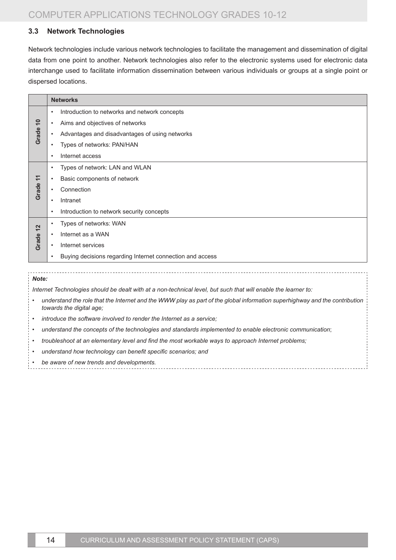### **3.3 Network Technologies**

Network technologies include various network technologies to facilitate the management and dissemination of digital data from one point to another. Network technologies also refer to the electronic systems used for electronic data interchange used to facilitate information dissemination between various individuals or groups at a single point or dispersed locations.

|                          | <b>Networks</b> |                                                           |  |  |
|--------------------------|-----------------|-----------------------------------------------------------|--|--|
| $\overline{10}$<br>Grade | $\bullet$       | Introduction to networks and network concepts             |  |  |
|                          | $\bullet$       | Aims and objectives of networks                           |  |  |
|                          |                 | Advantages and disadvantages of using networks            |  |  |
|                          | $\bullet$       | Types of networks: PAN/HAN                                |  |  |
|                          | $\bullet$       | Internet access                                           |  |  |
|                          | $\bullet$       | Types of network: LAN and WLAN                            |  |  |
| 11                       | $\bullet$       | Basic components of network                               |  |  |
| Grade                    |                 | Connection                                                |  |  |
|                          | $\bullet$       | Intranet                                                  |  |  |
|                          | $\bullet$       | Introduction to network security concepts                 |  |  |
|                          | $\bullet$       | Types of networks: WAN                                    |  |  |
| 12                       | $\bullet$       | Internet as a WAN                                         |  |  |
| Grade                    |                 | Internet services                                         |  |  |
|                          | $\bullet$       | Buying decisions regarding Internet connection and access |  |  |
|                          |                 |                                                           |  |  |

#### *Note:*

Internet Technologies should be dealt with at a non-technical level, but such that will enable the learner to:

- understand the role that the Internet and the WWW play as part of the global information superhighway and the contribution *towards the digital age;*
- *introduce the software involved to render the Internet as a service;*
- *understand the concepts of the technologies and standards implemented to enable electronic communication*;
- *troubleshoot at an elementary level and find the most workable ways to approach Internet problems;*
- *understand how technology can benefit specific scenarios; and*
- *be aware of new trends and developments.*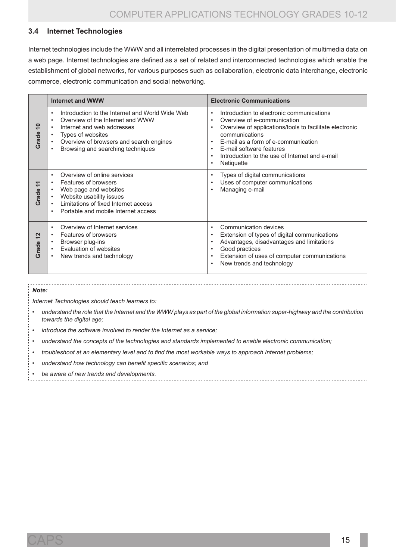### **3.4 Internet Technologies**

Internet technologies include the WWW and all interrelated processes in the digital presentation of multimedia data on a web page. Internet technologies are defined as a set of related and interconnected technologies which enable the establishment of global networks, for various purposes such as collaboration, electronic data interchange, electronic commerce, electronic communication and social networking.

|                                                        | <b>Internet and WWW</b>                                                                                                                                                                                                                                                                      | <b>Electronic Communications</b>                                                                                                                                                                                                                                                                                                                                                    |  |
|--------------------------------------------------------|----------------------------------------------------------------------------------------------------------------------------------------------------------------------------------------------------------------------------------------------------------------------------------------------|-------------------------------------------------------------------------------------------------------------------------------------------------------------------------------------------------------------------------------------------------------------------------------------------------------------------------------------------------------------------------------------|--|
| $\overline{10}$<br>Grade                               | Introduction to the Internet and World Wide Web<br>٠<br>Overview of the Internet and WWW<br>$\bullet$<br>Internet and web addresses<br>$\bullet$<br>Types of websites<br>$\bullet$<br>Overview of browsers and search engines<br>$\bullet$<br>Browsing and searching techniques<br>$\bullet$ | Introduction to electronic communications<br>$\bullet$<br>Overview of e-communication<br>$\bullet$<br>Overview of applications/tools to facilitate electronic<br>$\bullet$<br>communications<br>E-mail as a form of e-communication<br>$\bullet$<br>E-mail software features<br>$\bullet$<br>Introduction to the use of Internet and e-mail<br>$\bullet$<br>Netiquette<br>$\bullet$ |  |
| $\mathrel{\mathop{\rightharpoonup}}$<br>Grade          | Overview of online services<br>$\bullet$<br>Features of browsers<br>$\bullet$<br>Web page and websites<br>$\bullet$<br>Website usability issues<br>$\bullet$<br>Limitations of fixed Internet access<br>$\bullet$<br>Portable and mobile Internet access<br>٠                                | Types of digital communications<br>$\bullet$<br>Uses of computer communications<br>$\bullet$<br>Managing e-mail<br>$\bullet$                                                                                                                                                                                                                                                        |  |
| $\mathbf{\Omega}$<br>$\overline{\phantom{0}}$<br>Grade | Overview of Internet services<br>$\bullet$<br>Features of browsers<br>$\bullet$<br>Browser plug-ins<br>$\bullet$<br>Evaluation of websites<br>$\bullet$<br>New trends and technology<br>$\bullet$                                                                                            | Communication devices<br>$\bullet$<br>Extension of types of digital communications<br>$\bullet$<br>Advantages, disadvantages and limitations<br>$\bullet$<br>Good practices<br>$\bullet$<br>Extension of uses of computer communications<br>$\bullet$<br>New trends and technology<br>$\bullet$                                                                                     |  |

#### *Note:*

*Internet Technologies should teach learners to:*

- understand the role that the Internet and the WWW plays as part of the global information super-highway and the contribution *towards the digital age;*
- *introduce the software involved to render the Internet as a service;*
- *understand the concepts of the technologies and standards implemented to enable electronic communication;*
- *troubleshoot at an elementary level and to find the most workable ways to approach Internet problems;*
- *understand how technology can benefit specific scenarios; and*
- *be aware of new trends and developments.*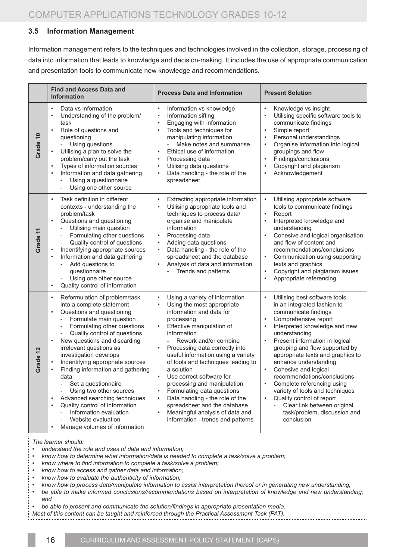### **3.5 Information Management**

Information management refers to the techniques and technologies involved in the collection, storage, processing of data into information that leads to knowledge and decision-making. It includes the use of appropriate communication and presentation tools to communicate new knowledge and recommendations.

|          | <b>Find and Access Data and</b><br><b>Information</b>                                                                                                                                                                                                                                                                                                                                                                                                                                                                                                                                                                         | <b>Process Data and Information</b>                                                                                                                                                                                                                                                                                                                                                                                                                                                                                                                                                                                       | <b>Present Solution</b>                                                                                                                                                                                                                                                                                                                                                                                                                                                                                                                                                                                          |
|----------|-------------------------------------------------------------------------------------------------------------------------------------------------------------------------------------------------------------------------------------------------------------------------------------------------------------------------------------------------------------------------------------------------------------------------------------------------------------------------------------------------------------------------------------------------------------------------------------------------------------------------------|---------------------------------------------------------------------------------------------------------------------------------------------------------------------------------------------------------------------------------------------------------------------------------------------------------------------------------------------------------------------------------------------------------------------------------------------------------------------------------------------------------------------------------------------------------------------------------------------------------------------------|------------------------------------------------------------------------------------------------------------------------------------------------------------------------------------------------------------------------------------------------------------------------------------------------------------------------------------------------------------------------------------------------------------------------------------------------------------------------------------------------------------------------------------------------------------------------------------------------------------------|
| Grade 10 | Data vs information<br>$\bullet$<br>Understanding of the problem/<br>$\bullet$<br>task<br>Role of questions and<br>$\bullet$<br>questioning<br>Using questions<br>Utilising a plan to solve the<br>$\bullet$<br>problem/carry out the task<br>Types of information sources<br>$\bullet$<br>Information and data gathering<br>$\bullet$<br>Using a questionnaire<br>Using one other source                                                                                                                                                                                                                                     | Information vs knowledge<br>$\bullet$<br>Information sifting<br>$\bullet$<br>Engaging with information<br>$\bullet$<br>Tools and techniques for<br>$\bullet$<br>manipulating information<br>Make notes and summarise<br>Ethical use of information<br>Processing data<br>$\bullet$<br>Utilising data questions<br>$\bullet$<br>Data handling - the role of the<br>$\bullet$<br>spreadsheet                                                                                                                                                                                                                                | Knowledge vs insight<br>$\bullet$<br>Utilising specific software tools to<br>communicate findings<br>Simple report<br>$\bullet$<br>Personal understandings<br>$\bullet$<br>Organise information into logical<br>$\bullet$<br>groupings and flow<br>Findings/conclusions<br>$\bullet$<br>Copyright and plagiarism<br>$\bullet$<br>Acknowledgement<br>$\bullet$                                                                                                                                                                                                                                                    |
| Grade 11 | Task definition in different<br>$\bullet$<br>contexts - understanding the<br>problem/task<br>Questions and questioning<br>$\bullet$<br>Utilising main question<br>Formulating other questions<br>Quality control of questions<br>Indentifying appropriate sources<br>$\bullet$<br>Information and data gathering<br>$\bullet$<br>Add questions to<br>questionnaire<br>Using one other source<br>Quality control of information<br>$\bullet$                                                                                                                                                                                   | Extracting appropriate information<br>Utilising appropriate tools and<br>techniques to process data/<br>organise and manipulate<br>information<br>Processing data<br>Adding data questions<br>$\bullet$<br>Data handling - the role of the<br>$\bullet$<br>spreadsheet and the database<br>Analysis of data and information<br>Trends and patterns                                                                                                                                                                                                                                                                        | Utilising appropriate software<br>$\bullet$<br>tools to communicate findings<br>Report<br>$\bullet$<br>Interpreted knowledge and<br>$\bullet$<br>understanding<br>Cohesive and logical organisation<br>and flow of content and<br>recommendations/conclusions<br>Communication using supporting<br>$\bullet$<br>texts and graphics<br>Copyright and plagiarism issues<br>$\bullet$<br>Appropriate referencing<br>$\bullet$                                                                                                                                                                                       |
| Grade 12 | Reformulation of problem/task<br>$\bullet$<br>into a complete statement<br>Questions and questioning<br>$\bullet$<br>- Formulate main question<br>Formulating other questions<br>Quality control of questions<br>New questions and discarding<br>$\bullet$<br>irrelevant questions as<br>investigation develops<br>Indentifying appropriate sources<br>Finding information and gathering<br>data<br>Set a questionnaire<br>Using two other sources<br>Advanced searching techniques<br>٠<br>Quality control of information<br>$\bullet$<br>Information evaluation<br>Website evaluation<br>Manage volumes of information<br>٠ | Using a variety of information<br>$\bullet$<br>Using the most appropriate<br>$\bullet$<br>information and data for<br>processing<br>Effective manipulation of<br>$\bullet$<br>information<br>Rework and/or combine<br>Processing data correctly into<br>useful information using a variety<br>of tools and techniques leading to<br>a solution<br>Use correct software for<br>$\bullet$<br>processing and manipulation<br>Formulating data questions<br>Data handling - the role of the<br>$\bullet$<br>spreadsheet and the database<br>Meaningful analysis of data and<br>$\bullet$<br>information - trends and patterns | Utilising best software tools<br>$\bullet$<br>in an integrated fashion to<br>communicate findings<br>Comprehensive report<br>$\bullet$<br>Interpreted knowledge and new<br>$\bullet$<br>understanding<br>Present information in logical<br>$\bullet$<br>grouping and flow supported by<br>appropriate texts and graphics to<br>enhance understanding<br>Cohesive and logical<br>$\bullet$<br>recommendations/conclusions<br>Complete referencing using<br>variety of tools and techniques<br>Quality control of report<br>$\bullet$<br>Clear link between original<br>task/problem, discussion and<br>conclusion |

*The learner should:*

- *understand the role and uses of data and information;*
- *know how to determine what information/data is needed to complete a task/solve a problem;*
- *know where to find information to complete a task/solve a problem;*
- *know how to access and gather data and information;*
- *know how to evaluate the authenticity of information;*
- *know how to process data/manipulate information to assist interpretation thereof or in generating new understanding;*
- *be able to make informed conclusions/recommendations based on interpretation of knowledge and new understanding; and*
- *be able to present and communicate the solution/findings in appropriate presentation media.*

*Most of this content can be taught and reinforced through the Practical Assessment Task (PAT).*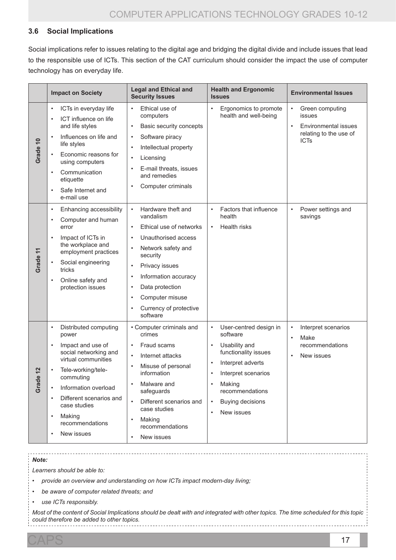### **3.6 Social Implications**

Social implications refer to issues relating to the digital age and bridging the digital divide and include issues that lead to the responsible use of ICTs. This section of the CAT curriculum should consider the impact the use of computer technology has on everyday life.

|                                    | <b>Impact on Society</b>                                                                                                                                                                                                                                                                                                           | <b>Legal and Ethical and</b><br><b>Security Issues</b>                                                                                                                                                                                                                                                     | <b>Health and Ergonomic</b><br><b>Issues</b>                                                                                                                                                                                                                                      | <b>Environmental Issues</b>                                                                                                 |
|------------------------------------|------------------------------------------------------------------------------------------------------------------------------------------------------------------------------------------------------------------------------------------------------------------------------------------------------------------------------------|------------------------------------------------------------------------------------------------------------------------------------------------------------------------------------------------------------------------------------------------------------------------------------------------------------|-----------------------------------------------------------------------------------------------------------------------------------------------------------------------------------------------------------------------------------------------------------------------------------|-----------------------------------------------------------------------------------------------------------------------------|
| Grade 10                           | ICTs in everyday life<br>$\bullet$<br>ICT influence on life<br>and life styles<br>Influences on life and<br>$\bullet$<br>life styles<br>Economic reasons for<br>using computers<br>Communication<br>٠                                                                                                                              | Ethical use of<br>$\bullet$<br>computers<br>Basic security concepts<br>$\bullet$<br>Software piracy<br>$\bullet$<br>Intellectual property<br>Licensing<br>$\bullet$<br>E-mail threats, issues<br>and remedies                                                                                              | $\bullet$<br>Ergonomics to promote<br>health and well-being                                                                                                                                                                                                                       | Green computing<br>$\bullet$<br>issues<br><b>Environmental issues</b><br>$\bullet$<br>relating to the use of<br><b>ICTs</b> |
|                                    | etiquette<br>Safe Internet and<br>$\bullet$<br>e-mail use                                                                                                                                                                                                                                                                          | Computer criminals<br>$\bullet$                                                                                                                                                                                                                                                                            |                                                                                                                                                                                                                                                                                   |                                                                                                                             |
| Grade 11                           | Enhancing accessibility<br>$\bullet$<br>Computer and human<br>٠<br>error<br>Impact of ICTs in<br>$\bullet$<br>the workplace and<br>employment practices<br>Social engineering<br>tricks<br>Online safety and<br>$\bullet$<br>protection issues                                                                                     | $\bullet$<br>Hardware theft and<br>vandalism<br>Ethical use of networks<br>$\bullet$<br>Unauthorised access<br>$\bullet$<br>Network safety and<br>security<br>Privacy issues<br>$\bullet$<br>Information accuracy<br>$\bullet$<br>Data protection<br>Computer misuse<br>Currency of protective<br>software | $\bullet$<br>Factors that influence<br>health<br><b>Health risks</b><br>$\bullet$                                                                                                                                                                                                 | Power settings and<br>$\bullet$<br>savings                                                                                  |
| 12<br>$\bullet$<br>ರ<br><b>Gra</b> | Distributed computing<br>$\bullet$<br>power<br>Impact and use of<br>$\bullet$<br>social networking and<br>virtual communities<br>Tele-working/tele-<br>commuting<br>Information overload<br>$\bullet$<br>Different scenarios and<br>$\bullet$<br>case studies<br>Making<br>$\bullet$<br>recommendations<br>New issues<br>$\bullet$ | • Computer criminals and<br>crimes<br>Fraud scams<br>$\bullet$<br>Internet attacks<br>$\bullet$<br>Misuse of personal<br>$\bullet$<br>information<br>Malware and<br>safeguards<br>$\bullet$<br>Different scenarios and<br>case studies<br>Making<br>recommendations<br>New issues                          | User-centred design in<br>$\bullet$<br>software<br>Usability and<br>$\bullet$<br>functionality issues<br>Interpret adverts<br>$\bullet$<br>Interpret scenarios<br>$\bullet$<br>Making<br>$\bullet$<br>recommendations<br>Buying decisions<br>$\bullet$<br>New issues<br>$\bullet$ | Interpret scenarios<br>$\bullet$<br>Make<br>$\bullet$<br>recommendations<br>New issues                                      |

#### *Note:*

*Learners should be able to:*

- *provide an overview and understanding on how ICTs impact modern-day living;*
- *be aware of computer related threats; and*
- *use ICTs responsibly.*

Most of the content of Social Implications should be dealt with and integrated with other topics. The time scheduled for this topic *could therefore be added to other topics.*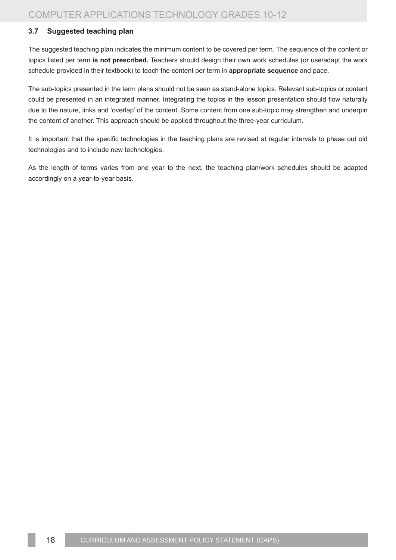### **3.7 Suggested teaching plan**

The suggested teaching plan indicates the minimum content to be covered per term. The sequence of the content or topics listed per term **is not prescribed.** Teachers should design their own work schedules (or use/adapt the work schedule provided in their textbook) to teach the content per term in **appropriate sequence** and pace.

The sub-topics presented in the term plans should not be seen as stand-alone topics. Relevant sub-topics or content could be presented in an integrated manner. Integrating the topics in the lesson presentation should flow naturally due to the nature, links and 'overlap' of the content. Some content from one sub-topic may strengthen and underpin the content of another. This approach should be applied throughout the three-year curriculum.

It is important that the specific technologies in the teaching plans are revised at regular intervals to phase out old technologies and to include new technologies.

As the length of terms varies from one year to the next, the teaching plan/work schedules should be adapted accordingly on a year-to-year basis.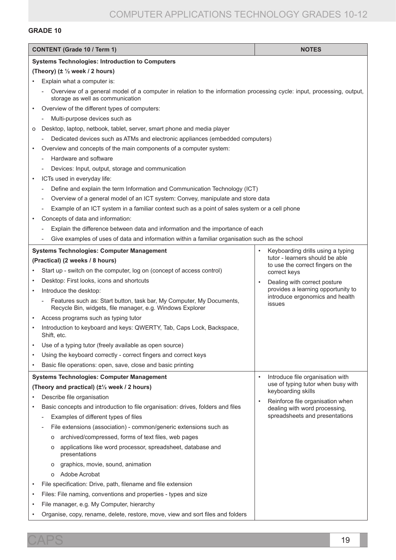### **Grade 10**

|           | <b>CONTENT (Grade 10 / Term 1)</b>                                                                                                                        | <b>NOTES</b>                                                         |  |  |
|-----------|-----------------------------------------------------------------------------------------------------------------------------------------------------------|----------------------------------------------------------------------|--|--|
|           | <b>Systems Technologies: Introduction to Computers</b>                                                                                                    |                                                                      |  |  |
|           | (Theory) ( $\pm$ 1/2 week / 2 hours)                                                                                                                      |                                                                      |  |  |
|           | Explain what a computer is:                                                                                                                               |                                                                      |  |  |
|           | Overview of a general model of a computer in relation to the information processing cycle: input, processing, output,<br>storage as well as communication |                                                                      |  |  |
| $\bullet$ | Overview of the different types of computers:                                                                                                             |                                                                      |  |  |
|           | Multi-purpose devices such as                                                                                                                             |                                                                      |  |  |
| o         | Desktop, laptop, netbook, tablet, server, smart phone and media player                                                                                    |                                                                      |  |  |
|           | Dedicated devices such as ATMs and electronic appliances (embedded computers)                                                                             |                                                                      |  |  |
| $\bullet$ | Overview and concepts of the main components of a computer system:                                                                                        |                                                                      |  |  |
|           | Hardware and software                                                                                                                                     |                                                                      |  |  |
|           | Devices: Input, output, storage and communication                                                                                                         |                                                                      |  |  |
| $\bullet$ | ICTs used in everyday life:                                                                                                                               |                                                                      |  |  |
|           | Define and explain the term Information and Communication Technology (ICT)<br>$\overline{\phantom{a}}$                                                    |                                                                      |  |  |
|           | Overview of a general model of an ICT system: Convey, manipulate and store data<br>$\overline{\phantom{a}}$                                               |                                                                      |  |  |
|           | Example of an ICT system in a familiar context such as a point of sales system or a cell phone                                                            |                                                                      |  |  |
|           | Concepts of data and information:                                                                                                                         |                                                                      |  |  |
|           | Explain the difference between data and information and the importance of each                                                                            |                                                                      |  |  |
|           | Give examples of uses of data and information within a familiar organisation such as the school                                                           |                                                                      |  |  |
|           | <b>Systems Technologies: Computer Management</b>                                                                                                          | Keyboarding drills using a typing                                    |  |  |
|           | (Practical) (2 weeks / 8 hours)                                                                                                                           | tutor - learners should be able<br>to use the correct fingers on the |  |  |
|           | Start up - switch on the computer, log on (concept of access control)                                                                                     | correct keys                                                         |  |  |
| $\bullet$ | Desktop: First looks, icons and shortcuts                                                                                                                 | Dealing with correct posture<br>$\bullet$                            |  |  |
| $\bullet$ | Introduce the desktop:                                                                                                                                    | provides a learning opportunity to                                   |  |  |
|           | Features such as: Start button, task bar, My Computer, My Documents,<br>Recycle Bin, widgets, file manager, e.g. Windows Explorer                         | introduce ergonomics and health<br>issues                            |  |  |
| $\bullet$ | Access programs such as typing tutor                                                                                                                      |                                                                      |  |  |
|           | Introduction to keyboard and keys: QWERTY, Tab, Caps Lock, Backspace,<br>Shift, etc.                                                                      |                                                                      |  |  |
|           | Use of a typing tutor (freely available as open source)                                                                                                   |                                                                      |  |  |
|           | Using the keyboard correctly - correct fingers and correct keys                                                                                           |                                                                      |  |  |
| $\bullet$ | Basic file operations: open, save, close and basic printing                                                                                               |                                                                      |  |  |
|           | <b>Systems Technologies: Computer Management</b>                                                                                                          | Introduce file organisation with<br>$\bullet$                        |  |  |
|           | (Theory and practical) (±1/2 week / 2 hours)                                                                                                              | use of typing tutor when busy with<br>keyboarding skills             |  |  |
|           | Describe file organisation                                                                                                                                | Reinforce file organisation when                                     |  |  |
| $\bullet$ | Basic concepts and introduction to file organisation: drives, folders and files                                                                           | dealing with word processing,                                        |  |  |
|           | Examples of different types of files                                                                                                                      | spreadsheets and presentations                                       |  |  |
|           | File extensions (association) - common/generic extensions such as                                                                                         |                                                                      |  |  |
|           | archived/compressed, forms of text files, web pages<br>о                                                                                                  |                                                                      |  |  |
|           | applications like word processor, spreadsheet, database and<br>о<br>presentations                                                                         |                                                                      |  |  |
|           | graphics, movie, sound, animation<br>o                                                                                                                    |                                                                      |  |  |
|           | Adobe Acrobat<br>o                                                                                                                                        |                                                                      |  |  |
| $\bullet$ | File specification: Drive, path, filename and file extension                                                                                              |                                                                      |  |  |
| $\bullet$ | Files: File naming, conventions and properties - types and size                                                                                           |                                                                      |  |  |
| ٠         | File manager, e.g. My Computer, hierarchy                                                                                                                 |                                                                      |  |  |
|           | Organise, copy, rename, delete, restore, move, view and sort files and folders                                                                            |                                                                      |  |  |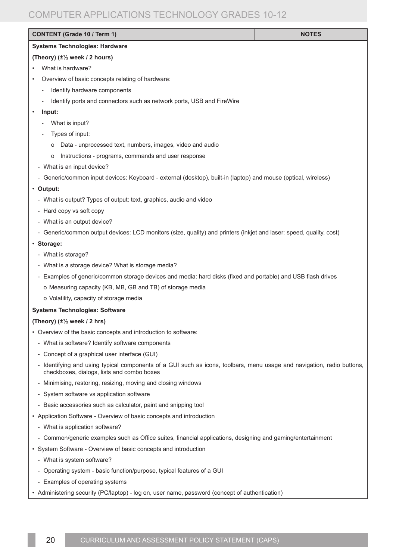| <b>CONTENT (Grade 10 / Term 1)</b>                                                                                                                                   | <b>NOTES</b> |
|----------------------------------------------------------------------------------------------------------------------------------------------------------------------|--------------|
| <b>Systems Technologies: Hardware</b>                                                                                                                                |              |
| (Theory) (±1/2 week / 2 hours)                                                                                                                                       |              |
| What is hardware?                                                                                                                                                    |              |
| Overview of basic concepts relating of hardware:                                                                                                                     |              |
| Identify hardware components                                                                                                                                         |              |
| Identify ports and connectors such as network ports, USB and FireWire                                                                                                |              |
| Input:                                                                                                                                                               |              |
| What is input?                                                                                                                                                       |              |
| Types of input:                                                                                                                                                      |              |
| Data - unprocessed text, numbers, images, video and audio<br>о                                                                                                       |              |
| Instructions - programs, commands and user response<br>о                                                                                                             |              |
| - What is an input device?                                                                                                                                           |              |
| - Generic/common input devices: Keyboard - external (desktop), built-in (laptop) and mouse (optical, wireless)                                                       |              |
| • Output:                                                                                                                                                            |              |
| - What is output? Types of output: text, graphics, audio and video                                                                                                   |              |
| - Hard copy vs soft copy                                                                                                                                             |              |
| - What is an output device?                                                                                                                                          |              |
| - Generic/common output devices: LCD monitors (size, quality) and printers (inkjet and laser: speed, quality, cost)                                                  |              |
| · Storage:                                                                                                                                                           |              |
| - What is storage?                                                                                                                                                   |              |
| - What is a storage device? What is storage media?                                                                                                                   |              |
| - Examples of generic/common storage devices and media: hard disks (fixed and portable) and USB flash drives                                                         |              |
| o Measuring capacity (KB, MB, GB and TB) of storage media                                                                                                            |              |
| o Volatility, capacity of storage media                                                                                                                              |              |
| <b>Systems Technologies: Software</b>                                                                                                                                |              |
| (Theory) $(\pm \frac{1}{2}$ week / 2 hrs)                                                                                                                            |              |
| • Overview of the basic concepts and introduction to software:                                                                                                       |              |
| - What is software? Identify software components                                                                                                                     |              |
| - Concept of a graphical user interface (GUI)                                                                                                                        |              |
| - Identifying and using typical components of a GUI such as icons, toolbars, menu usage and navigation, radio buttons,<br>checkboxes, dialogs, lists and combo boxes |              |
| - Minimising, restoring, resizing, moving and closing windows                                                                                                        |              |
| - System software vs application software                                                                                                                            |              |
| - Basic accessories such as calculator, paint and snipping tool                                                                                                      |              |
| • Application Software - Overview of basic concepts and introduction                                                                                                 |              |
| - What is application software?                                                                                                                                      |              |
| - Common/generic examples such as Office suites, financial applications, designing and gaming/entertainment                                                          |              |
| • System Software - Overview of basic concepts and introduction                                                                                                      |              |
| - What is system software?                                                                                                                                           |              |
| - Operating system - basic function/purpose, typical features of a GUI                                                                                               |              |

- Examples of operating systems
- Administering security (PC/laptop) log on, user name, password (concept of authentication)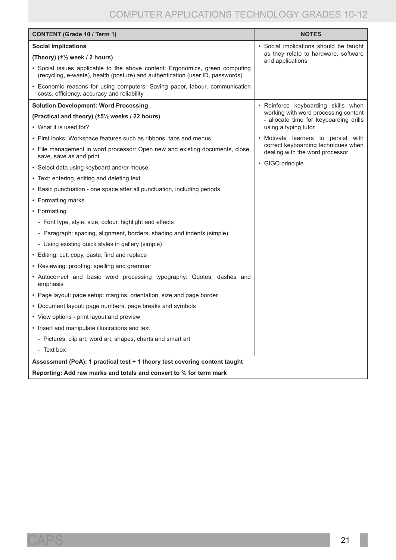| <b>CONTENT (Grade 10 / Term 1)</b>                                                                                                                             | <b>NOTES</b>                                                                   |  |
|----------------------------------------------------------------------------------------------------------------------------------------------------------------|--------------------------------------------------------------------------------|--|
| <b>Social Implications</b>                                                                                                                                     | • Social implications should be taught                                         |  |
| (Theory) (±1/2 week / 2 hours)                                                                                                                                 | as they relate to hardware, software<br>and applications                       |  |
| • Social issues applicable to the above content: Ergonomics, green computing<br>(recycling, e-waste), health (posture) and authentication (user ID, passwords) |                                                                                |  |
| • Economic reasons for using computers: Saving paper, labour, communication<br>costs, efficiency, accuracy and reliability                                     |                                                                                |  |
| <b>Solution Development: Word Processing</b>                                                                                                                   | • Reinforce keyboarding skills when                                            |  |
| (Practical and theory) (±5 <sup>1</sup> / <sub>2</sub> weeks / 22 hours)                                                                                       | working with word processing content<br>- allocate time for keyboarding drills |  |
| • What it is used for?                                                                                                                                         | using a typing tutor                                                           |  |
| • First looks: Workspace features such as ribbons, tabs and menus                                                                                              | • Motivate learners to persist with                                            |  |
| • File management in word processor: Open new and existing documents, close,<br>save, save as and print                                                        | correct keyboarding techniques when<br>dealing with the word processor         |  |
| • Select data using keyboard and/or mouse                                                                                                                      | • GIGO principle                                                               |  |
| • Text: entering, editing and deleting text                                                                                                                    |                                                                                |  |
| • Basic punctuation - one space after all punctuation, including periods                                                                                       |                                                                                |  |
| • Formatting marks                                                                                                                                             |                                                                                |  |
| • Formatting                                                                                                                                                   |                                                                                |  |
| - Font type, style, size, colour, highlight and effects                                                                                                        |                                                                                |  |
| - Paragraph: spacing, alignment, borders, shading and indents (simple)                                                                                         |                                                                                |  |
| - Using existing quick styles in gallery (simple)                                                                                                              |                                                                                |  |
| • Editing: cut, copy, paste, find and replace                                                                                                                  |                                                                                |  |
| • Reviewing: proofing: spelling and grammar                                                                                                                    |                                                                                |  |
| • Autocorrect and basic word processing typography: Quotes, dashes and<br>emphasis                                                                             |                                                                                |  |
| • Page layout: page setup: margins, orientation, size and page border                                                                                          |                                                                                |  |
| • Document layout: page numbers, page breaks and symbols                                                                                                       |                                                                                |  |
| • View options - print layout and preview                                                                                                                      |                                                                                |  |
| • Insert and manipulate illustrations and text                                                                                                                 |                                                                                |  |
| - Pictures, clip art, word art, shapes, charts and smart art                                                                                                   |                                                                                |  |
| - Text box                                                                                                                                                     |                                                                                |  |
| Assessment (PoA): 1 practical test + 1 theory test covering content taught                                                                                     |                                                                                |  |
| Reporting: Add raw marks and totals and convert to % for term mark                                                                                             |                                                                                |  |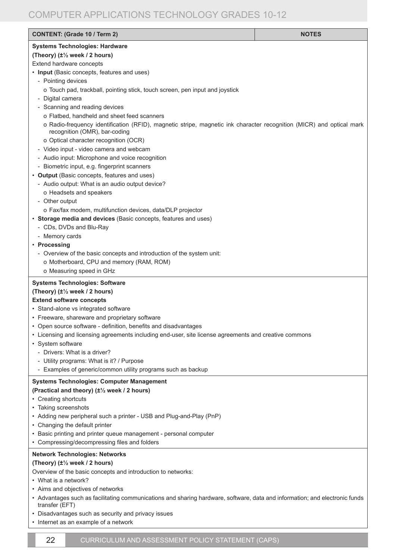| <b>CONTENT: (Grade 10 / Term 2)</b>                                                                                                                   | <b>NOTES</b> |  |
|-------------------------------------------------------------------------------------------------------------------------------------------------------|--------------|--|
| <b>Systems Technologies: Hardware</b>                                                                                                                 |              |  |
| (Theory) (±1/2 week / 2 hours)                                                                                                                        |              |  |
| Extend hardware concepts                                                                                                                              |              |  |
| • Input (Basic concepts, features and uses)                                                                                                           |              |  |
| - Pointing devices                                                                                                                                    |              |  |
| o Touch pad, trackball, pointing stick, touch screen, pen input and joystick                                                                          |              |  |
| - Digital camera                                                                                                                                      |              |  |
| - Scanning and reading devices                                                                                                                        |              |  |
| o Flatbed, handheld and sheet feed scanners                                                                                                           |              |  |
| o Radio-frequency identification (RFID), magnetic stripe, magnetic ink character recognition (MICR) and optical mark<br>recognition (OMR), bar-coding |              |  |
| o Optical character recognition (OCR)                                                                                                                 |              |  |
| - Video input - video camera and webcam                                                                                                               |              |  |
| - Audio input: Microphone and voice recognition                                                                                                       |              |  |
| - Biometric input, e.g. fingerprint scanners                                                                                                          |              |  |
| • Output (Basic concepts, features and uses)                                                                                                          |              |  |
| - Audio output: What is an audio output device?                                                                                                       |              |  |
| o Headsets and speakers                                                                                                                               |              |  |
| - Other output                                                                                                                                        |              |  |
| o Fax/fax modem, multifunction devices, data/DLP projector                                                                                            |              |  |
| • Storage media and devices (Basic concepts, features and uses)                                                                                       |              |  |
| - CDs, DVDs and Blu-Ray                                                                                                                               |              |  |
| - Memory cards                                                                                                                                        |              |  |
| • Processing                                                                                                                                          |              |  |
| - Overview of the basic concepts and introduction of the system unit:                                                                                 |              |  |
| o Motherboard, CPU and memory (RAM, ROM)                                                                                                              |              |  |
| o Measuring speed in GHz                                                                                                                              |              |  |
| <b>Systems Technologies: Software</b>                                                                                                                 |              |  |
| (Theory) (±1/2 week / 2 hours)                                                                                                                        |              |  |
| <b>Extend software concepts</b>                                                                                                                       |              |  |
| • Stand-alone vs integrated software                                                                                                                  |              |  |
| • Freeware, shareware and proprietary software                                                                                                        |              |  |
| • Open source software - definition, benefits and disadvantages                                                                                       |              |  |
| • Licensing and licensing agreements including end-user, site license agreements and creative commons                                                 |              |  |
| • System software                                                                                                                                     |              |  |
| - Drivers: What is a driver?                                                                                                                          |              |  |
| - Utility programs: What is it? / Purpose                                                                                                             |              |  |
| - Examples of generic/common utility programs such as backup                                                                                          |              |  |
|                                                                                                                                                       |              |  |
| <b>Systems Technologies: Computer Management</b>                                                                                                      |              |  |
| (Practical and theory) (±1/2 week / 2 hours)<br>• Creating shortcuts                                                                                  |              |  |
| • Taking screenshots                                                                                                                                  |              |  |
| • Adding new peripheral such a printer - USB and Plug-and-Play (PnP)                                                                                  |              |  |
| • Changing the default printer                                                                                                                        |              |  |
| • Basic printing and printer queue management - personal computer                                                                                     |              |  |
| • Compressing/decompressing files and folders                                                                                                         |              |  |
|                                                                                                                                                       |              |  |
| <b>Network Technologies: Networks</b>                                                                                                                 |              |  |
| (Theory) (±1/2 week / 2 hours)                                                                                                                        |              |  |
| Overview of the basic concepts and introduction to networks:                                                                                          |              |  |
| • What is a network?                                                                                                                                  |              |  |
| • Aims and objectives of networks                                                                                                                     |              |  |
| • Advantages such as facilitating communications and sharing hardware, software, data and information; and electronic funds<br>transfer (EFT)         |              |  |
| • Disadvantages such as security and privacy issues                                                                                                   |              |  |

• Internet as an example of a network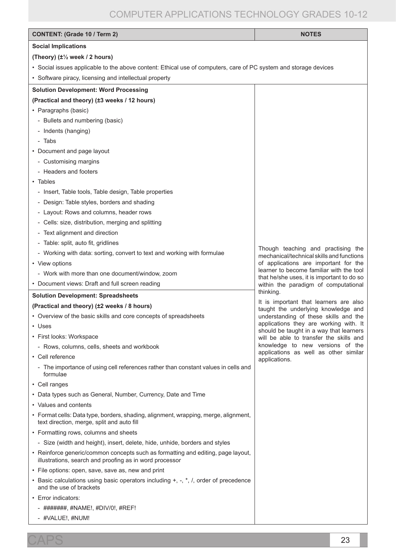| <b>CONTENT: (Grade 10 / Term 2)</b>                                                                                                         | <b>NOTES</b>                                                                       |  |  |
|---------------------------------------------------------------------------------------------------------------------------------------------|------------------------------------------------------------------------------------|--|--|
| <b>Social Implications</b>                                                                                                                  |                                                                                    |  |  |
| (Theory) $(\pm \frac{1}{2}$ week / 2 hours)                                                                                                 |                                                                                    |  |  |
| • Social issues applicable to the above content: Ethical use of computers, care of PC system and storage devices                            |                                                                                    |  |  |
| • Software piracy, licensing and intellectual property                                                                                      |                                                                                    |  |  |
| <b>Solution Development: Word Processing</b>                                                                                                |                                                                                    |  |  |
| (Practical and theory) (±3 weeks / 12 hours)                                                                                                |                                                                                    |  |  |
| • Paragraphs (basic)                                                                                                                        |                                                                                    |  |  |
| - Bullets and numbering (basic)                                                                                                             |                                                                                    |  |  |
| - Indents (hanging)                                                                                                                         |                                                                                    |  |  |
| - Tabs                                                                                                                                      |                                                                                    |  |  |
| • Document and page layout                                                                                                                  |                                                                                    |  |  |
| - Customising margins                                                                                                                       |                                                                                    |  |  |
| - Headers and footers                                                                                                                       |                                                                                    |  |  |
| $\cdot$ Tables                                                                                                                              |                                                                                    |  |  |
| - Insert, Table tools, Table design, Table properties                                                                                       |                                                                                    |  |  |
| - Design: Table styles, borders and shading                                                                                                 |                                                                                    |  |  |
| - Layout: Rows and columns, header rows                                                                                                     |                                                                                    |  |  |
| - Cells: size, distribution, merging and splitting                                                                                          |                                                                                    |  |  |
| - Text alignment and direction                                                                                                              |                                                                                    |  |  |
| - Table: split, auto fit, gridlines                                                                                                         | Though teaching and practising the                                                 |  |  |
| - Working with data: sorting, convert to text and working with formulae<br>• View options                                                   | mechanical/technical skills and functions<br>of applications are important for the |  |  |
| - Work with more than one document/window, zoom                                                                                             | learner to become familiar with the tool                                           |  |  |
| • Document views: Draft and full screen reading                                                                                             | that he/she uses, it is important to do so<br>within the paradigm of computational |  |  |
| <b>Solution Development: Spreadsheets</b>                                                                                                   | thinking.                                                                          |  |  |
| (Practical and theory) (±2 weeks / 8 hours)                                                                                                 | It is important that learners are also                                             |  |  |
| • Overview of the basic skills and core concepts of spreadsheets                                                                            | taught the underlying knowledge and<br>understanding of these skills and the       |  |  |
| • Uses                                                                                                                                      | applications they are working with. It                                             |  |  |
| • First looks: Workspace                                                                                                                    | should be taught in a way that learners<br>will be able to transfer the skills and |  |  |
| - Rows, columns, cells, sheets and workbook                                                                                                 | knowledge to new versions of the                                                   |  |  |
| • Cell reference                                                                                                                            | applications as well as other similar<br>applications.                             |  |  |
| - The importance of using cell references rather than constant values in cells and<br>formulae                                              |                                                                                    |  |  |
| • Cell ranges                                                                                                                               |                                                                                    |  |  |
| • Data types such as General, Number, Currency, Date and Time                                                                               |                                                                                    |  |  |
| • Values and contents                                                                                                                       |                                                                                    |  |  |
| • Format cells: Data type, borders, shading, alignment, wrapping, merge, alignment,<br>text direction, merge, split and auto fill           |                                                                                    |  |  |
| • Formatting rows, columns and sheets                                                                                                       |                                                                                    |  |  |
| - Size (width and height), insert, delete, hide, unhide, borders and styles                                                                 |                                                                                    |  |  |
| • Reinforce generic/common concepts such as formatting and editing, page layout,<br>illustrations, search and proofing as in word processor |                                                                                    |  |  |
| • File options: open, save, save as, new and print                                                                                          |                                                                                    |  |  |
| • Basic calculations using basic operators including +, -, *, /, order of precedence<br>and the use of brackets                             |                                                                                    |  |  |
| • Error indicators:                                                                                                                         |                                                                                    |  |  |
| - #######, #NAME!, #DIV/0!, #REF!                                                                                                           |                                                                                    |  |  |
| - #VALUE!, #NUM!                                                                                                                            |                                                                                    |  |  |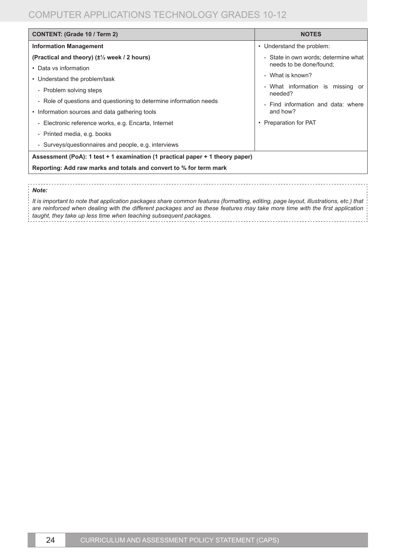| <b>CONTENT: (Grade 10 / Term 2)</b>                                           | <b>NOTES</b>                                |  |
|-------------------------------------------------------------------------------|---------------------------------------------|--|
| <b>Information Management</b>                                                 | • Understand the problem:                   |  |
| (Practical and theory) $(\pm \frac{1}{2})$ week / 2 hours)                    | - State in own words; determine what        |  |
| • Data vs information                                                         | needs to be done/found;                     |  |
| • Understand the problem/task                                                 | - What is known?                            |  |
| - Problem solving steps                                                       | - What information is missing or<br>needed? |  |
| - Role of questions and questioning to determine information needs            | - Find information and data: where          |  |
| • Information sources and data gathering tools                                | and how?                                    |  |
| - Electronic reference works, e.g. Encarta, Internet                          | Preparation for PAT                         |  |
| - Printed media, e.g. books                                                   |                                             |  |
| - Surveys/questionnaires and people, e.g. interviews                          |                                             |  |
| Assessment (PoA): 1 test + 1 examination (1 practical paper + 1 theory paper) |                                             |  |
| Reporting: Add raw marks and totals and convert to % for term mark            |                                             |  |
|                                                                               |                                             |  |

#### *Note:*

It is important to note that application packages share common features (formatting, editing, page layout, illustrations, etc.) that are reinforced when dealing with the different packages and as these features may take more time with the first application *taught, they take up less time when teaching subsequent packages.*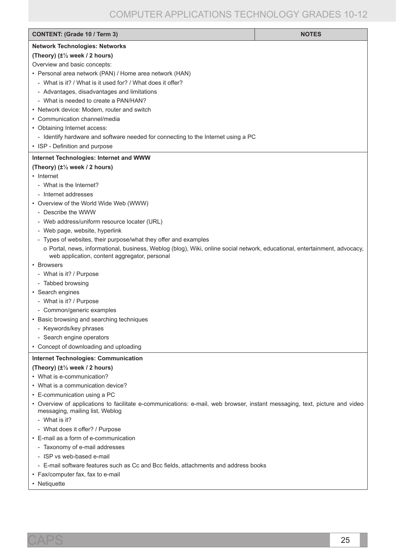| <b>CONTENT: (Grade 10 / Term 3)</b>                                                                                                                                         | <b>NOTES</b> |
|-----------------------------------------------------------------------------------------------------------------------------------------------------------------------------|--------------|
| <b>Network Technologies: Networks</b>                                                                                                                                       |              |
| (Theory) (±1/2 week / 2 hours)                                                                                                                                              |              |
| Overview and basic concepts:                                                                                                                                                |              |
| • Personal area network (PAN) / Home area network (HAN)                                                                                                                     |              |
| - What is it? / What is it used for? / What does it offer?                                                                                                                  |              |
| - Advantages, disadvantages and limitations                                                                                                                                 |              |
| - What is needed to create a PAN/HAN?                                                                                                                                       |              |
| • Network device: Modem, router and switch                                                                                                                                  |              |
| • Communication channel/media                                                                                                                                               |              |
| • Obtaining Internet access:                                                                                                                                                |              |
| - Identify hardware and software needed for connecting to the Internet using a PC                                                                                           |              |
| • ISP - Definition and purpose                                                                                                                                              |              |
| Internet Technologies: Internet and WWW                                                                                                                                     |              |
| (Theory) (±1/2 week / 2 hours)                                                                                                                                              |              |
| • Internet                                                                                                                                                                  |              |
| - What is the Internet?                                                                                                                                                     |              |
| - Internet addresses                                                                                                                                                        |              |
| • Overview of the World Wide Web (WWW)                                                                                                                                      |              |
| - Describe the WWW                                                                                                                                                          |              |
| - Web address/uniform resource locater (URL)                                                                                                                                |              |
| - Web page, website, hyperlink                                                                                                                                              |              |
| - Types of websites, their purpose/what they offer and examples                                                                                                             |              |
| o Portal, news, informational, business, Weblog (blog), Wiki, online social network, educational, entertainment, advocacy,<br>web application, content aggregator, personal |              |
| • Browsers                                                                                                                                                                  |              |
| - What is it? / Purpose                                                                                                                                                     |              |
| - Tabbed browsing                                                                                                                                                           |              |
| • Search engines                                                                                                                                                            |              |
| - What is it? / Purpose                                                                                                                                                     |              |
| - Common/generic examples                                                                                                                                                   |              |
| • Basic browsing and searching techniques                                                                                                                                   |              |
| - Keywords/key phrases                                                                                                                                                      |              |
| - Search engine operators                                                                                                                                                   |              |
| • Concept of downloading and uploading                                                                                                                                      |              |
| <b>Internet Technologies: Communication</b>                                                                                                                                 |              |
| (Theory) (±1/2 week / 2 hours)<br>• What is e-communication?                                                                                                                |              |
| • What is a communication device?                                                                                                                                           |              |
|                                                                                                                                                                             |              |
| • E-communication using a PC<br>• Overview of applications to facilitate e-communications: e-mail, web browser, instant messaging, text, picture and video                  |              |
| messaging, mailing list, Weblog                                                                                                                                             |              |
| - What is it?                                                                                                                                                               |              |
| - What does it offer? / Purpose                                                                                                                                             |              |
| • E-mail as a form of e-communication                                                                                                                                       |              |
| - Taxonomy of e-mail addresses                                                                                                                                              |              |
| - ISP vs web-based e-mail                                                                                                                                                   |              |
| - E-mail software features such as Cc and Bcc fields, attachments and address books                                                                                         |              |
| • Fax/computer fax, fax to e-mail                                                                                                                                           |              |
| • Netiquette                                                                                                                                                                |              |
|                                                                                                                                                                             |              |

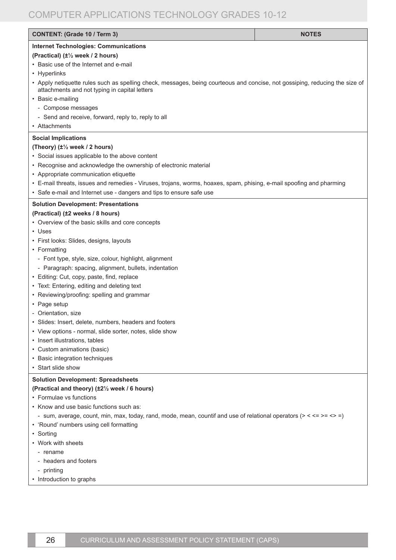| <b>CONTENT: (Grade 10 / Term 3)</b>                                                                                                                                          | <b>NOTES</b> |
|------------------------------------------------------------------------------------------------------------------------------------------------------------------------------|--------------|
| <b>Internet Technologies: Communications</b>                                                                                                                                 |              |
| (Practical) (±1/2 week / 2 hours)                                                                                                                                            |              |
| • Basic use of the Internet and e-mail                                                                                                                                       |              |
| • Hyperlinks                                                                                                                                                                 |              |
| • Apply netiquette rules such as spelling check, messages, being courteous and concise, not gossiping, reducing the size of<br>attachments and not typing in capital letters |              |
| • Basic e-mailing                                                                                                                                                            |              |
| - Compose messages                                                                                                                                                           |              |
| - Send and receive, forward, reply to, reply to all                                                                                                                          |              |
| • Attachments                                                                                                                                                                |              |
| <b>Social Implications</b>                                                                                                                                                   |              |
| (Theory) (±1/2 week / 2 hours)                                                                                                                                               |              |
| • Social issues applicable to the above content                                                                                                                              |              |
| • Recognise and acknowledge the ownership of electronic material                                                                                                             |              |
| • Appropriate communication etiquette                                                                                                                                        |              |
| • E-mail threats, issues and remedies - Viruses, trojans, worms, hoaxes, spam, phising, e-mail spoofing and pharming                                                         |              |
| • Safe e-mail and Internet use - dangers and tips to ensure safe use                                                                                                         |              |
| <b>Solution Development: Presentations</b>                                                                                                                                   |              |
| (Practical) (±2 weeks / 8 hours)                                                                                                                                             |              |
| • Overview of the basic skills and core concepts                                                                                                                             |              |
| $\cdot$ Uses                                                                                                                                                                 |              |
| • First looks: Slides, designs, layouts                                                                                                                                      |              |
| • Formatting                                                                                                                                                                 |              |
| - Font type, style, size, colour, highlight, alignment                                                                                                                       |              |
| - Paragraph: spacing, alignment, bullets, indentation                                                                                                                        |              |
| • Editing: Cut, copy, paste, find, replace                                                                                                                                   |              |
| • Text: Entering, editing and deleting text                                                                                                                                  |              |
| • Reviewing/proofing: spelling and grammar                                                                                                                                   |              |
| • Page setup                                                                                                                                                                 |              |
| - Orientation, size                                                                                                                                                          |              |
| • Slides: Insert, delete, numbers, headers and footers                                                                                                                       |              |
| • View options - normal, slide sorter, notes, slide show                                                                                                                     |              |
| • Insert illustrations, tables                                                                                                                                               |              |
| • Custom animations (basic)                                                                                                                                                  |              |
| • Basic integration techniques                                                                                                                                               |              |
| • Start slide show                                                                                                                                                           |              |
| <b>Solution Development: Spreadsheets</b>                                                                                                                                    |              |
| (Practical and theory) (±2 <sup>1</sup> / <sub>2</sub> week / 6 hours)                                                                                                       |              |
| • Formulae vs functions                                                                                                                                                      |              |
| • Know and use basic functions such as:                                                                                                                                      |              |
| - sum, average, count, min, max, today, rand, mode, mean, countif and use of relational operators (> < <= >= <> =)                                                           |              |
| • 'Round' numbers using cell formatting                                                                                                                                      |              |
| • Sorting                                                                                                                                                                    |              |
| • Work with sheets                                                                                                                                                           |              |
| - rename                                                                                                                                                                     |              |
| - headers and footers                                                                                                                                                        |              |
| - printing                                                                                                                                                                   |              |
| • Introduction to graphs                                                                                                                                                     |              |
|                                                                                                                                                                              |              |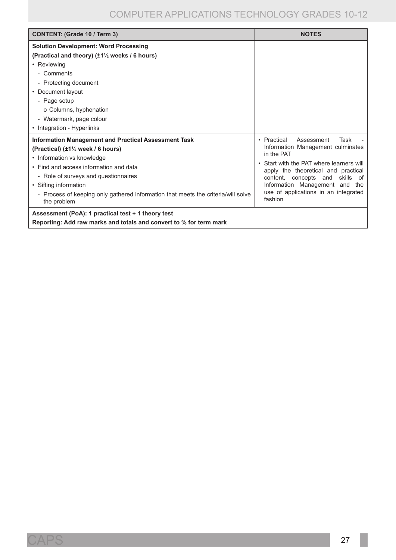| <b>CONTENT: (Grade 10 / Term 3)</b>                                                              | <b>NOTES</b>                                                                    |  |
|--------------------------------------------------------------------------------------------------|---------------------------------------------------------------------------------|--|
| <b>Solution Development: Word Processing</b>                                                     |                                                                                 |  |
| (Practical and theory) (±1 <sup>1</sup> / <sub>2</sub> weeks / 6 hours)                          |                                                                                 |  |
| • Reviewing                                                                                      |                                                                                 |  |
| - Comments                                                                                       |                                                                                 |  |
| - Protecting document                                                                            |                                                                                 |  |
| • Document layout                                                                                |                                                                                 |  |
| - Page setup                                                                                     |                                                                                 |  |
| o Columns, hyphenation                                                                           |                                                                                 |  |
| - Watermark, page colour                                                                         |                                                                                 |  |
| • Integration - Hyperlinks                                                                       |                                                                                 |  |
| <b>Information Management and Practical Assessment Task</b>                                      | Task<br>• Practical<br>Assessment                                               |  |
| (Practical) (±1 <sup>1</sup> / <sub>2</sub> week / 6 hours)                                      | Information Management culminates                                               |  |
| • Information vs knowledge                                                                       | in the PAT                                                                      |  |
| • Find and access information and data                                                           | • Start with the PAT where learners will<br>apply the theoretical and practical |  |
| - Role of surveys and questionnaires                                                             | content, concepts and skills of                                                 |  |
| • Sifting information                                                                            | Information Management and the                                                  |  |
| - Process of keeping only gathered information that meets the criteria/will solve<br>the problem | use of applications in an integrated<br>fashion                                 |  |
| Assessment (PoA): 1 practical test + 1 theory test                                               |                                                                                 |  |
| Reporting: Add raw marks and totals and convert to % for term mark                               |                                                                                 |  |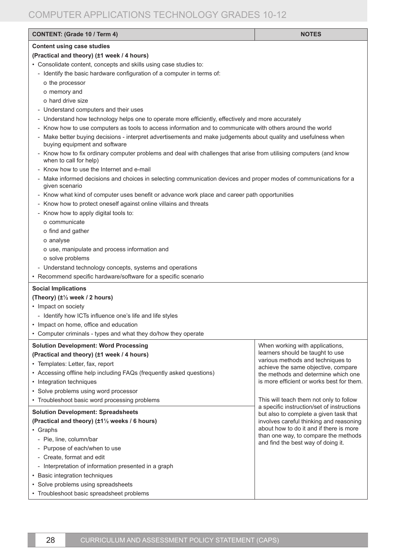| <b>CONTENT: (Grade 10 / Term 4)</b>                                                                                                              | <b>NOTES</b>                                                                          |  |  |
|--------------------------------------------------------------------------------------------------------------------------------------------------|---------------------------------------------------------------------------------------|--|--|
| <b>Content using case studies</b>                                                                                                                |                                                                                       |  |  |
| (Practical and theory) (±1 week / 4 hours)                                                                                                       |                                                                                       |  |  |
| • Consolidate content, concepts and skills using case studies to:                                                                                |                                                                                       |  |  |
| - Identify the basic hardware configuration of a computer in terms of:                                                                           |                                                                                       |  |  |
| o the processor                                                                                                                                  |                                                                                       |  |  |
| o memory and                                                                                                                                     |                                                                                       |  |  |
| o hard drive size                                                                                                                                |                                                                                       |  |  |
| - Understand computers and their uses                                                                                                            |                                                                                       |  |  |
| - Understand how technology helps one to operate more efficiently, effectively and more accurately                                               |                                                                                       |  |  |
| - Know how to use computers as tools to access information and to communicate with others around the world                                       |                                                                                       |  |  |
| - Make better buying decisions - interpret advertisements and make judgements about quality and usefulness when<br>buying equipment and software |                                                                                       |  |  |
| - Know how to fix ordinary computer problems and deal with challenges that arise from utilising computers (and know<br>when to call for help)    |                                                                                       |  |  |
| - Know how to use the Internet and e-mail                                                                                                        |                                                                                       |  |  |
| - Make informed decisions and choices in selecting communication devices and proper modes of communications for a<br>given scenario              |                                                                                       |  |  |
| - Know what kind of computer uses benefit or advance work place and career path opportunities                                                    |                                                                                       |  |  |
| - Know how to protect oneself against online villains and threats                                                                                |                                                                                       |  |  |
| - Know how to apply digital tools to:                                                                                                            |                                                                                       |  |  |
| o communicate                                                                                                                                    |                                                                                       |  |  |
| o find and gather                                                                                                                                |                                                                                       |  |  |
| o analyse                                                                                                                                        |                                                                                       |  |  |
| o use, manipulate and process information and                                                                                                    |                                                                                       |  |  |
| o solve problems                                                                                                                                 |                                                                                       |  |  |
| - Understand technology concepts, systems and operations                                                                                         |                                                                                       |  |  |
| • Recommend specific hardware/software for a specific scenario                                                                                   |                                                                                       |  |  |
| <b>Social Implications</b>                                                                                                                       |                                                                                       |  |  |
| (Theory) (±1/2 week / 2 hours)                                                                                                                   |                                                                                       |  |  |
| • Impact on society                                                                                                                              |                                                                                       |  |  |
| Identify how ICTs influence one's life and life styles                                                                                           |                                                                                       |  |  |
| • Impact on home, office and education                                                                                                           |                                                                                       |  |  |
| • Computer criminals - types and what they do/how they operate                                                                                   |                                                                                       |  |  |
| <b>Solution Development: Word Processing</b>                                                                                                     |                                                                                       |  |  |
| (Practical and theory) (±1 week / 4 hours)                                                                                                       | When working with applications,<br>learners should be taught to use                   |  |  |
|                                                                                                                                                  | various methods and techniques to                                                     |  |  |
| • Templates: Letter, fax, report<br>• Accessing offline help including FAQs (frequently asked questions)                                         | achieve the same objective, compare                                                   |  |  |
| • Integration techniques                                                                                                                         | the methods and determine which one<br>is more efficient or works best for them.      |  |  |
|                                                                                                                                                  |                                                                                       |  |  |
| • Solve problems using word processor                                                                                                            |                                                                                       |  |  |
| • Troubleshoot basic word processing problems                                                                                                    | This will teach them not only to follow<br>a specific instruction/set of instructions |  |  |
| <b>Solution Development: Spreadsheets</b>                                                                                                        | but also to complete a given task that                                                |  |  |
| (Practical and theory) (±1 <sup>1</sup> / <sub>2</sub> weeks / 6 hours)                                                                          | involves careful thinking and reasoning                                               |  |  |
| • Graphs                                                                                                                                         | about how to do it and if there is more<br>than one way, to compare the methods       |  |  |
| - Pie, line, column/bar                                                                                                                          | and find the best way of doing it.                                                    |  |  |
| - Purpose of each/when to use                                                                                                                    |                                                                                       |  |  |
| - Create, format and edit                                                                                                                        |                                                                                       |  |  |
| - Interpretation of information presented in a graph                                                                                             |                                                                                       |  |  |
| • Basic integration techniques                                                                                                                   |                                                                                       |  |  |
| • Solve problems using spreadsheets                                                                                                              |                                                                                       |  |  |
| • Troubleshoot basic spreadsheet problems                                                                                                        |                                                                                       |  |  |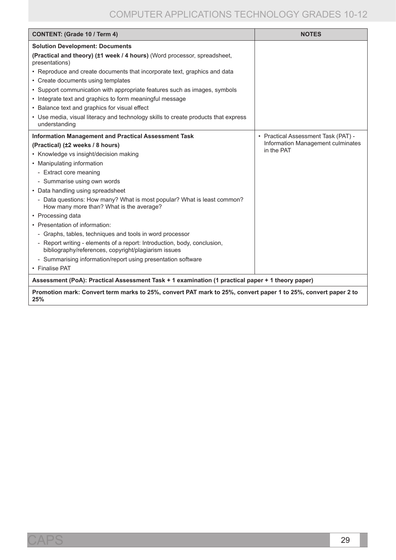| <b>CONTENT: (Grade 10 / Term 4)</b>                                                                                              | <b>NOTES</b>                        |  |
|----------------------------------------------------------------------------------------------------------------------------------|-------------------------------------|--|
| <b>Solution Development: Documents</b>                                                                                           |                                     |  |
| (Practical and theory) (±1 week / 4 hours) (Word processor, spreadsheet,<br>presentations)                                       |                                     |  |
| • Reproduce and create documents that incorporate text, graphics and data                                                        |                                     |  |
| • Create documents using templates                                                                                               |                                     |  |
| • Support communication with appropriate features such as images, symbols                                                        |                                     |  |
| • Integrate text and graphics to form meaningful message                                                                         |                                     |  |
| • Balance text and graphics for visual effect                                                                                    |                                     |  |
| • Use media, visual literacy and technology skills to create products that express<br>understanding                              |                                     |  |
| <b>Information Management and Practical Assessment Task</b>                                                                      | • Practical Assessment Task (PAT) - |  |
| (Practical) (±2 weeks / 8 hours)                                                                                                 | Information Management culminates   |  |
| • Knowledge vs insight/decision making                                                                                           | in the PAT                          |  |
| • Manipulating information                                                                                                       |                                     |  |
| - Extract core meaning                                                                                                           |                                     |  |
| - Summarise using own words                                                                                                      |                                     |  |
| • Data handling using spreadsheet                                                                                                |                                     |  |
| - Data questions: How many? What is most popular? What is least common?<br>How many more than? What is the average?              |                                     |  |
| • Processing data                                                                                                                |                                     |  |
| • Presentation of information:                                                                                                   |                                     |  |
| - Graphs, tables, techniques and tools in word processor                                                                         |                                     |  |
| - Report writing - elements of a report: Introduction, body, conclusion,<br>bibliography/references, copyright/plagiarism issues |                                     |  |
| - Summarising information/report using presentation software                                                                     |                                     |  |
| • Finalise PAT                                                                                                                   |                                     |  |
| Assessment (PoA): Practical Assessment Task + 1 examination (1 practical paper + 1 theory paper)                                 |                                     |  |
| Promotion mark: Convert term marks to 25%, convert PAT mark to 25%, convert paper 1 to 25%, convert paper 2 to<br>25%            |                                     |  |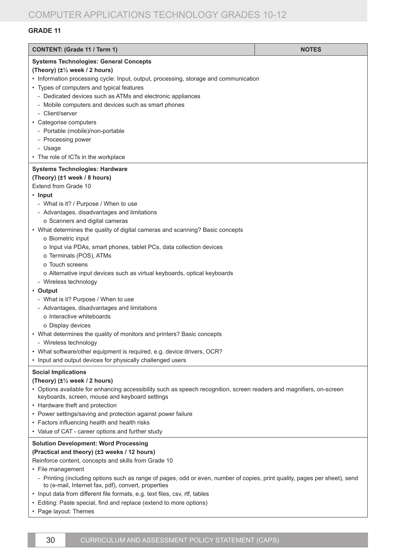### **Grade 11**

| <b>CONTENT: (Grade 11 / Term 1)</b>                                                                                                                                                                                                                                                                                                                                                                                                                                                                                                                                                                                                                                                                                                                                                                                                                                                                                                                                                              | <b>NOTES</b> |
|--------------------------------------------------------------------------------------------------------------------------------------------------------------------------------------------------------------------------------------------------------------------------------------------------------------------------------------------------------------------------------------------------------------------------------------------------------------------------------------------------------------------------------------------------------------------------------------------------------------------------------------------------------------------------------------------------------------------------------------------------------------------------------------------------------------------------------------------------------------------------------------------------------------------------------------------------------------------------------------------------|--------------|
| <b>Systems Technologies: General Concepts</b><br>(Theory) (±1/2 week / 2 hours)<br>• Information processing cycle: Input, output, processing, storage and communication<br>• Types of computers and typical features<br>- Dedicated devices such as ATMs and electronic appliances<br>- Mobile computers and devices such as smart phones<br>- Client/server<br>• Categorise computers<br>- Portable (mobile)/non-portable<br>- Processing power<br>- Usage<br>• The role of ICTs in the workplace                                                                                                                                                                                                                                                                                                                                                                                                                                                                                               |              |
| <b>Systems Technologies: Hardware</b><br>(Theory) (±1 week / 8 hours)<br>Extend from Grade 10<br>• Input<br>- What is it? / Purpose / When to use<br>- Advantages, disadvantages and limitations<br>o Scanners and digital cameras<br>• What determines the quality of digital cameras and scanning? Basic concepts<br>o Biometric input<br>o Input via PDAs, smart phones, tablet PCs, data collection devices<br>o Terminals (POS), ATMs<br>o Touch screens<br>o Alternative input devices such as virtual keyboards, optical keyboards<br>- Wireless technology<br>• Output<br>- What is it? Purpose / When to use<br>- Advantages, disadvantages and limitations<br>o Interactive whiteboards<br>o Display devices<br>• What determines the quality of monitors and printers? Basic concepts<br>- Wireless technology<br>• What software/other equipment is required, e.g. device drivers, OCR?<br>• Input and output devices for physically challenged users                                |              |
| <b>Social Implications</b><br>(Theory) (±1/2 week / 2 hours)<br>• Options available for enhancing accessibility such as speech recognition, screen readers and magnifiers, on-screen<br>keyboards, screen, mouse and keyboard settings<br>• Hardware theft and protection<br>• Power settings/saving and protection against power failure<br>• Factors influencing health and health risks<br>• Value of CAT - career options and further study<br><b>Solution Development: Word Processing</b><br>(Practical and theory) (±3 weeks / 12 hours)<br>Reinforce content, concepts and skills from Grade 10<br>• File management<br>- Printing (including options such as range of pages, odd or even, number of copies, print quality, pages per sheet), send<br>to (e-mail, Internet fax, pdf), convert, properties<br>• Input data from different file formats, e.g. text files, csv, rtf, tables<br>• Editing: Paste special, find and replace (extend to more options)<br>• Page layout: Themes |              |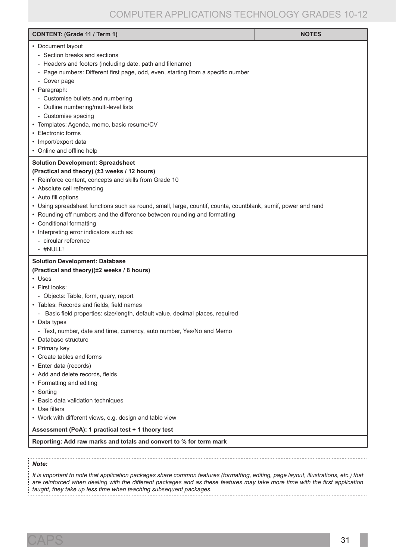| <b>CONTENT:</b> (Grade 11 / Term 1)                                                                                                                                                                                                                                                                                                                                                                                                                                                                                                                                                                                                                                             | <b>NOTES</b> |
|---------------------------------------------------------------------------------------------------------------------------------------------------------------------------------------------------------------------------------------------------------------------------------------------------------------------------------------------------------------------------------------------------------------------------------------------------------------------------------------------------------------------------------------------------------------------------------------------------------------------------------------------------------------------------------|--------------|
| • Document layout<br>- Section breaks and sections<br>- Headers and footers (including date, path and filename)<br>- Page numbers: Different first page, odd, even, starting from a specific number<br>- Cover page<br>• Paragraph:<br>- Customise bullets and numbering<br>- Outline numbering/multi-level lists<br>- Customise spacing<br>· Templates: Agenda, memo, basic resume/CV<br>• Electronic forms<br>• Import/export data<br>• Online and offline help                                                                                                                                                                                                               |              |
| <b>Solution Development: Spreadsheet</b><br>(Practical and theory) (±3 weeks / 12 hours)<br>• Reinforce content, concepts and skills from Grade 10<br>• Absolute cell referencing<br>• Auto fill options<br>• Using spreadsheet functions such as round, small, large, countif, counta, countblank, sumif, power and rand<br>• Rounding off numbers and the difference between rounding and formatting<br>• Conditional formatting<br>• Interpreting error indicators such as:<br>- circular reference<br>$-$ #NULL!                                                                                                                                                            |              |
| <b>Solution Development: Database</b><br>(Practical and theory)(±2 weeks / 8 hours)<br>• Uses<br>• First looks:<br>- Objects: Table, form, query, report<br>• Tables: Records and fields, field names<br>- Basic field properties: size/length, default value, decimal places, required<br>• Data types<br>- Text, number, date and time, currency, auto number, Yes/No and Memo<br>• Database structure<br>• Primary key<br>• Create tables and forms<br>• Enter data (records)<br>• Add and delete records, fields<br>• Formatting and editing<br>• Sorting<br>• Basic data validation techniques<br>• Use filters<br>• Work with different views, e.g. design and table view |              |
| Assessment (PoA): 1 practical test + 1 theory test                                                                                                                                                                                                                                                                                                                                                                                                                                                                                                                                                                                                                              |              |
| Reporting: Add raw marks and totals and convert to % for term mark                                                                                                                                                                                                                                                                                                                                                                                                                                                                                                                                                                                                              |              |

#### *Note:*

It is important to note that application packages share common features (formatting, editing, page layout, illustrations, etc.) that are reinforced when dealing with the different packages and as these features may take more time with the first application *taught, they take up less time when teaching subsequent packages.*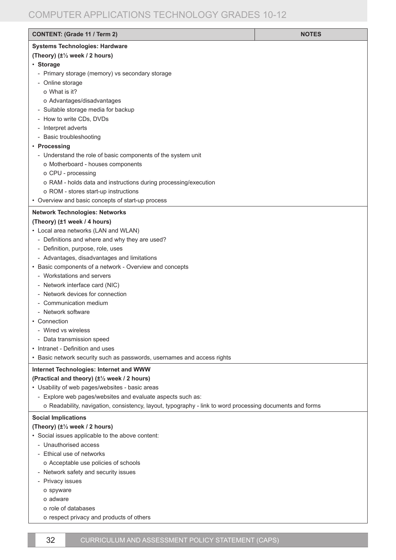| <b>CONTENT: (Grade 11 / Term 2)</b>                                                                      | <b>NOTES</b> |
|----------------------------------------------------------------------------------------------------------|--------------|
|                                                                                                          |              |
| <b>Systems Technologies: Hardware</b>                                                                    |              |
| (Theory) (±1/2 week / 2 hours)                                                                           |              |
| • Storage                                                                                                |              |
| - Primary storage (memory) vs secondary storage                                                          |              |
| - Online storage                                                                                         |              |
| o What is it?                                                                                            |              |
| o Advantages/disadvantages                                                                               |              |
| - Suitable storage media for backup                                                                      |              |
| - How to write CDs, DVDs                                                                                 |              |
| - Interpret adverts                                                                                      |              |
| - Basic troubleshooting                                                                                  |              |
| • Processing                                                                                             |              |
| - Understand the role of basic components of the system unit                                             |              |
| o Motherboard - houses components<br>o CPU - processing                                                  |              |
| o RAM - holds data and instructions during processing/execution                                          |              |
| o ROM - stores start-up instructions                                                                     |              |
| • Overview and basic concepts of start-up process                                                        |              |
|                                                                                                          |              |
| <b>Network Technologies: Networks</b>                                                                    |              |
| (Theory) (±1 week / 4 hours)                                                                             |              |
| • Local area networks (LAN and WLAN)<br>- Definitions and where and why they are used?                   |              |
| - Definition, purpose, role, uses                                                                        |              |
| - Advantages, disadvantages and limitations                                                              |              |
| • Basic components of a network - Overview and concepts                                                  |              |
| - Workstations and servers                                                                               |              |
| - Network interface card (NIC)                                                                           |              |
| - Network devices for connection                                                                         |              |
| - Communication medium                                                                                   |              |
| - Network software                                                                                       |              |
| • Connection                                                                                             |              |
| - Wired vs wireless                                                                                      |              |
| - Data transmission speed                                                                                |              |
| • Intranet - Definition and uses                                                                         |              |
| • Basic network security such as passwords, usernames and access rights                                  |              |
| Internet Technologies: Internet and WWW                                                                  |              |
| (Practical and theory) (±1/2 week / 2 hours)                                                             |              |
| • Usability of web pages/websites - basic areas                                                          |              |
| - Explore web pages/websites and evaluate aspects such as:                                               |              |
| o Readability, navigation, consistency, layout, typography - link to word processing documents and forms |              |
| <b>Social Implications</b>                                                                               |              |
| (Theory) (±1/2 week / 2 hours)                                                                           |              |
| • Social issues applicable to the above content:                                                         |              |
| - Unauthorised access                                                                                    |              |
| - Ethical use of networks                                                                                |              |
| o Acceptable use policies of schools                                                                     |              |
| - Network safety and security issues                                                                     |              |
| - Privacy issues                                                                                         |              |
| o spyware                                                                                                |              |
| o adware                                                                                                 |              |
| o role of databases                                                                                      |              |
| o respect privacy and products of others                                                                 |              |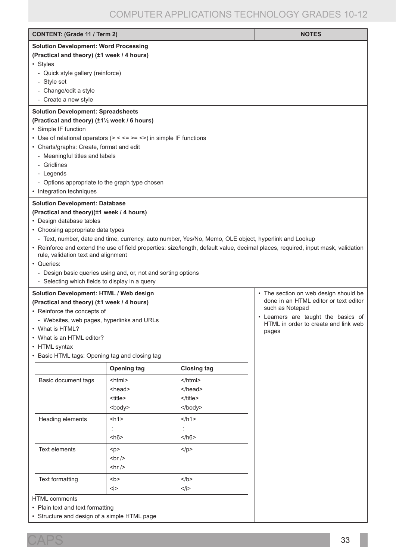| <b>CONTENT: (Grade 11 / Term 2)</b>                                    |                    |                                                                                                      | <b>NOTES</b>                                                                                                                     |
|------------------------------------------------------------------------|--------------------|------------------------------------------------------------------------------------------------------|----------------------------------------------------------------------------------------------------------------------------------|
| <b>Solution Development: Word Processing</b>                           |                    |                                                                                                      |                                                                                                                                  |
| (Practical and theory) (±1 week / 4 hours)                             |                    |                                                                                                      |                                                                                                                                  |
| • Styles                                                               |                    |                                                                                                      |                                                                                                                                  |
| - Quick style gallery (reinforce)                                      |                    |                                                                                                      |                                                                                                                                  |
| - Style set                                                            |                    |                                                                                                      |                                                                                                                                  |
| - Change/edit a style                                                  |                    |                                                                                                      |                                                                                                                                  |
| - Create a new style                                                   |                    |                                                                                                      |                                                                                                                                  |
| <b>Solution Development: Spreadsheets</b>                              |                    |                                                                                                      |                                                                                                                                  |
| (Practical and theory) (±1 <sup>1</sup> / <sub>2</sub> week / 6 hours) |                    |                                                                                                      |                                                                                                                                  |
| • Simple IF function                                                   |                    |                                                                                                      |                                                                                                                                  |
| • Use of relational operators $(> < = > = >)$ in simple IF functions   |                    |                                                                                                      |                                                                                                                                  |
| • Charts/graphs: Create, format and edit                               |                    |                                                                                                      |                                                                                                                                  |
| - Meaningful titles and labels                                         |                    |                                                                                                      |                                                                                                                                  |
| - Gridlines                                                            |                    |                                                                                                      |                                                                                                                                  |
| - Legends                                                              |                    |                                                                                                      |                                                                                                                                  |
| - Options appropriate to the graph type chosen                         |                    |                                                                                                      |                                                                                                                                  |
| • Integration techniques                                               |                    |                                                                                                      |                                                                                                                                  |
| <b>Solution Development: Database</b>                                  |                    |                                                                                                      |                                                                                                                                  |
| (Practical and theory)(±1 week / 4 hours)                              |                    |                                                                                                      |                                                                                                                                  |
| • Design database tables                                               |                    |                                                                                                      |                                                                                                                                  |
| • Choosing appropriate data types                                      |                    |                                                                                                      |                                                                                                                                  |
|                                                                        |                    | - Text, number, date and time, currency, auto number, Yes/No, Memo, OLE object, hyperlink and Lookup |                                                                                                                                  |
|                                                                        |                    |                                                                                                      | • Reinforce and extend the use of field properties: size/length, default value, decimal places, required, input mask, validation |
| rule, validation text and alignment                                    |                    |                                                                                                      |                                                                                                                                  |
| • Queries:                                                             |                    |                                                                                                      |                                                                                                                                  |
| - Design basic queries using and, or, not and sorting options          |                    |                                                                                                      |                                                                                                                                  |
| - Selecting which fields to display in a query                         |                    |                                                                                                      |                                                                                                                                  |
| Solution Development: HTML / Web design                                |                    |                                                                                                      | • The section on web design should be                                                                                            |
| (Practical and theory) (±1 week / 4 hours)                             |                    |                                                                                                      | done in an HTML editor or text editor<br>such as Notepad                                                                         |
| • Reinforce the concepts of                                            |                    |                                                                                                      | • Learners are taught the basics of                                                                                              |
| - Websites, web pages, hyperlinks and URLs                             |                    |                                                                                                      | HTML in order to create and link web                                                                                             |
| • What is HTML?                                                        |                    |                                                                                                      | pages                                                                                                                            |
| • What is an HTML editor?                                              |                    |                                                                                                      |                                                                                                                                  |
| • HTML syntax                                                          |                    |                                                                                                      |                                                                                                                                  |
| • Basic HTML tags: Opening tag and closing tag                         |                    |                                                                                                      |                                                                                                                                  |
|                                                                        | <b>Opening tag</b> | <b>Closing tag</b>                                                                                   |                                                                                                                                  |
| Basic document tags                                                    | <html></html>      | $<$ /html>                                                                                           |                                                                                                                                  |
|                                                                        | <head></head>      |                                                                                                      |                                                                                                                                  |
|                                                                        | <title></title>    |                                                                                                      |                                                                                                                                  |
|                                                                        | <body></body>      |                                                                                                      |                                                                                                                                  |
| Heading elements                                                       | $h1$               | $<$ /h1>                                                                                             |                                                                                                                                  |
|                                                                        |                    |                                                                                                      |                                                                                                                                  |
|                                                                        | $<$ h6>            | $<$ /h6>                                                                                             |                                                                                                                                  |
|                                                                        |                    |                                                                                                      |                                                                                                                                  |
| <b>Text elements</b>                                                   | < p >              | $<$ /p>                                                                                              |                                                                                                                                  |
|                                                                        | $br$ />            |                                                                                                      |                                                                                                                                  |
|                                                                        | $\mathsf{chr}$ />  |                                                                                                      |                                                                                                                                  |
| <b>Text formatting</b>                                                 | <br><b>b</b>       | $<$ /b>                                                                                              |                                                                                                                                  |
|                                                                        | <i></i>            | $<$ /i>                                                                                              |                                                                                                                                  |
| <b>HTML</b> comments                                                   |                    |                                                                                                      |                                                                                                                                  |
| • Plain text and text formatting                                       |                    |                                                                                                      |                                                                                                                                  |
| • Structure and design of a simple HTML page                           |                    |                                                                                                      |                                                                                                                                  |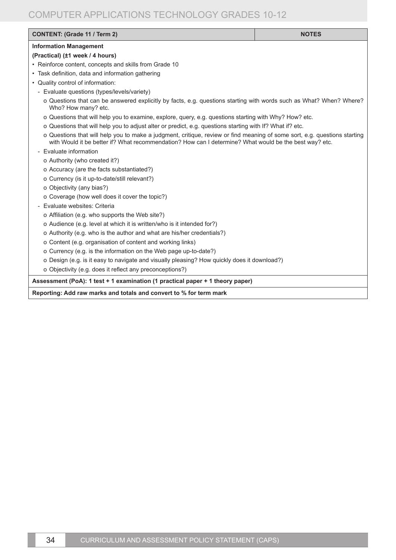| <b>CONTENT: (Grade 11 / Term 2)</b>                                                                                                                                                                                                 | <b>NOTES</b> |  |  |  |
|-------------------------------------------------------------------------------------------------------------------------------------------------------------------------------------------------------------------------------------|--------------|--|--|--|
| <b>Information Management</b>                                                                                                                                                                                                       |              |  |  |  |
| (Practical) (±1 week / 4 hours)                                                                                                                                                                                                     |              |  |  |  |
| • Reinforce content, concepts and skills from Grade 10                                                                                                                                                                              |              |  |  |  |
| • Task definition, data and information gathering                                                                                                                                                                                   |              |  |  |  |
| • Quality control of information:                                                                                                                                                                                                   |              |  |  |  |
| - Evaluate questions (types/levels/variety)                                                                                                                                                                                         |              |  |  |  |
| o Questions that can be answered explicitly by facts, e.g. questions starting with words such as What? When? Where?<br>Who? How many? etc.                                                                                          |              |  |  |  |
| o Questions that will help you to examine, explore, query, e.g. questions starting with Why? How? etc.                                                                                                                              |              |  |  |  |
| o Questions that will help you to adjust alter or predict, e.g. questions starting with If? What if? etc.                                                                                                                           |              |  |  |  |
| o Questions that will help you to make a judgment, critique, review or find meaning of some sort, e.g. questions starting<br>with Would it be better if? What recommendation? How can I determine? What would be the best way? etc. |              |  |  |  |
| - Evaluate information                                                                                                                                                                                                              |              |  |  |  |
| o Authority (who created it?)                                                                                                                                                                                                       |              |  |  |  |
| o Accuracy (are the facts substantiated?)                                                                                                                                                                                           |              |  |  |  |
| o Currency (is it up-to-date/still relevant?)                                                                                                                                                                                       |              |  |  |  |
| o Objectivity (any bias?)                                                                                                                                                                                                           |              |  |  |  |
| o Coverage (how well does it cover the topic?)                                                                                                                                                                                      |              |  |  |  |
| Evaluate websites: Criteria                                                                                                                                                                                                         |              |  |  |  |
| o Affiliation (e.g. who supports the Web site?)                                                                                                                                                                                     |              |  |  |  |
| o Audience (e.g. level at which it is written/who is it intended for?)                                                                                                                                                              |              |  |  |  |
| o Authority (e.g. who is the author and what are his/her credentials?)                                                                                                                                                              |              |  |  |  |
| o Content (e.g. organisation of content and working links)                                                                                                                                                                          |              |  |  |  |
| o Currency (e.g. is the information on the Web page up-to-date?)                                                                                                                                                                    |              |  |  |  |
| o Design (e.g. is it easy to navigate and visually pleasing? How quickly does it download?)                                                                                                                                         |              |  |  |  |
| o Objectivity (e.g. does it reflect any preconceptions?)                                                                                                                                                                            |              |  |  |  |
| Assessment (PoA): 1 test + 1 examination (1 practical paper + 1 theory paper)                                                                                                                                                       |              |  |  |  |

**Reporting: Add raw marks and totals and convert to % for term mark**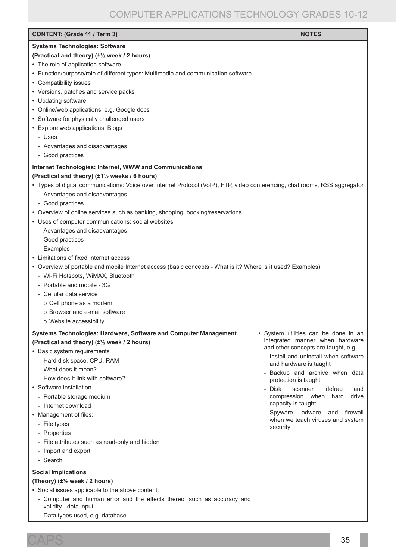| <b>CONTENT: (Grade 11 / Term 3)</b>                                                                                                                                                                                                                                                                                                                                                                                                                                                                                                                                                                                                                                                                                                                                                                                                                             | <b>NOTES</b>                                                                                                                                                                                                                                                                                                                                                                                                                    |
|-----------------------------------------------------------------------------------------------------------------------------------------------------------------------------------------------------------------------------------------------------------------------------------------------------------------------------------------------------------------------------------------------------------------------------------------------------------------------------------------------------------------------------------------------------------------------------------------------------------------------------------------------------------------------------------------------------------------------------------------------------------------------------------------------------------------------------------------------------------------|---------------------------------------------------------------------------------------------------------------------------------------------------------------------------------------------------------------------------------------------------------------------------------------------------------------------------------------------------------------------------------------------------------------------------------|
| <b>Systems Technologies: Software</b><br>(Practical and theory) (±1/2 week / 2 hours)<br>• The role of application software<br>• Function/purpose/role of different types: Multimedia and communication software<br>• Compatibility issues<br>• Versions, patches and service packs<br>• Updating software<br>• Online/web applications, e.g. Google docs<br>• Software for physically challenged users<br>• Explore web applications: Blogs<br>- Uses<br>- Advantages and disadvantages<br>- Good practices                                                                                                                                                                                                                                                                                                                                                    |                                                                                                                                                                                                                                                                                                                                                                                                                                 |
| <b>Internet Technologies: Internet, WWW and Communications</b><br>(Practical and theory) (±11/2 weeks / 6 hours)<br>• Types of digital communications: Voice over Internet Protocol (VoIP), FTP, video conferencing, chat rooms, RSS aggregator<br>- Advantages and disadvantages<br>- Good practices<br>• Overview of online services such as banking, shopping, booking/reservations<br>• Uses of computer communications: social websites<br>- Advantages and disadvantages<br>- Good practices<br>- Examples<br>• Limitations of fixed Internet access<br>• Overview of portable and mobile Internet access (basic concepts - What is it? Where is it used? Examples)<br>- Wi-Fi Hotspots, WiMAX, Bluetooth<br>- Portable and mobile - 3G<br>- Cellular data service<br>o Cell phone as a modem<br>o Browser and e-mail software<br>o Website accessibility |                                                                                                                                                                                                                                                                                                                                                                                                                                 |
| Systems Technologies: Hardware, Software and Computer Management<br>(Practical and theory) (±1/2 week / 2 hours)<br>• Basic system requirements<br>- Hard disk space, CPU, RAM<br>- What does it mean?<br>- How does it link with software?<br>• Software installation<br>- Portable storage medium<br>- Internet download<br>• Management of files:<br>- File types<br>- Properties<br>- File attributes such as read-only and hidden<br>- Import and export<br>- Search<br><b>Social Implications</b><br>(Theory) (±1/2 week / 2 hours)                                                                                                                                                                                                                                                                                                                       | · System utilities can be done in an<br>integrated manner when hardware<br>and other concepts are taught, e.g.<br>- Install and uninstall when software<br>and hardware is taught<br>- Backup and archive when data<br>protection is taught<br>- Disk<br>scanner,<br>defrag<br>and<br>compression when<br>drive<br>hard<br>capacity is taught<br>- Spyware, adware and firewall<br>when we teach viruses and system<br>security |
| • Social issues applicable to the above content:<br>- Computer and human error and the effects thereof such as accuracy and<br>validity - data input<br>- Data types used, e.g. database                                                                                                                                                                                                                                                                                                                                                                                                                                                                                                                                                                                                                                                                        |                                                                                                                                                                                                                                                                                                                                                                                                                                 |

CAPS 35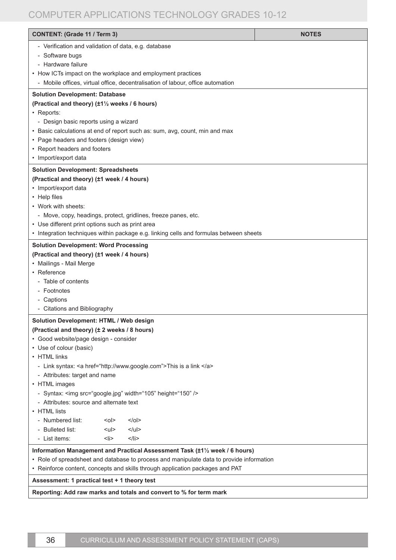| <b>CONTENT: (Grade 11 / Term 3)</b>                                                      |           |                                                                                        | <b>NOTES</b> |
|------------------------------------------------------------------------------------------|-----------|----------------------------------------------------------------------------------------|--------------|
| - Verification and validation of data, e.g. database                                     |           |                                                                                        |              |
| - Software bugs                                                                          |           |                                                                                        |              |
| - Hardware failure                                                                       |           |                                                                                        |              |
|                                                                                          |           | • How ICTs impact on the workplace and employment practices                            |              |
|                                                                                          |           | - Mobile offices, virtual office, decentralisation of labour, office automation        |              |
| <b>Solution Development: Database</b>                                                    |           |                                                                                        |              |
| (Practical and theory) (±1 <sup>1</sup> / <sub>2</sub> weeks / 6 hours)                  |           |                                                                                        |              |
| • Reports:<br>- Design basic reports using a wizard                                      |           |                                                                                        |              |
|                                                                                          |           | • Basic calculations at end of report such as: sum, avg, count, min and max            |              |
| • Page headers and footers (design view)                                                 |           |                                                                                        |              |
| • Report headers and footers                                                             |           |                                                                                        |              |
| • Import/export data                                                                     |           |                                                                                        |              |
| <b>Solution Development: Spreadsheets</b>                                                |           |                                                                                        |              |
| (Practical and theory) (±1 week / 4 hours)                                               |           |                                                                                        |              |
| • Import/export data                                                                     |           |                                                                                        |              |
| • Help files                                                                             |           |                                                                                        |              |
| • Work with sheets:                                                                      |           |                                                                                        |              |
|                                                                                          |           | - Move, copy, headings, protect, gridlines, freeze panes, etc.                         |              |
| • Use different print options such as print area                                         |           |                                                                                        |              |
|                                                                                          |           | • Integration techniques within package e.g. linking cells and formulas between sheets |              |
| <b>Solution Development: Word Processing</b>                                             |           |                                                                                        |              |
| (Practical and theory) (±1 week / 4 hours)                                               |           |                                                                                        |              |
| • Mailings - Mail Merge<br>• Reference                                                   |           |                                                                                        |              |
| - Table of contents                                                                      |           |                                                                                        |              |
| - Footnotes                                                                              |           |                                                                                        |              |
| - Captions                                                                               |           |                                                                                        |              |
| - Citations and Bibliography                                                             |           |                                                                                        |              |
| Solution Development: HTML / Web design                                                  |           |                                                                                        |              |
| (Practical and theory) (± 2 weeks / 8 hours)                                             |           |                                                                                        |              |
| · Good website/page design - consider                                                    |           |                                                                                        |              |
| • Use of colour (basic)                                                                  |           |                                                                                        |              |
| • HTML links                                                                             |           |                                                                                        |              |
|                                                                                          |           | - Link syntax: < a href="http://www.google.com">This is a link                         |              |
| - Attributes: target and name<br>• HTML images                                           |           |                                                                                        |              |
|                                                                                          |           | - Syntax: <img height="150" src="google.jpg" width="105"/>                             |              |
| - Attributes: source and alternate text                                                  |           |                                                                                        |              |
| • HTML lists                                                                             |           |                                                                                        |              |
| - Numbered list:                                                                         | $0$       | $<$ /0 $ >$                                                                            |              |
| - Bulleted list:                                                                         | $ul$      | $<$ /ul>                                                                               |              |
| - List items:                                                                            | <li></li> | $<$ /li>                                                                               |              |
|                                                                                          |           | Information Management and Practical Assessment Task (±11/2 week / 6 hours)            |              |
| • Role of spreadsheet and database to process and manipulate data to provide information |           |                                                                                        |              |
|                                                                                          |           | • Reinforce content, concepts and skills through application packages and PAT          |              |
| Assessment: 1 practical test + 1 theory test                                             |           |                                                                                        |              |
|                                                                                          |           | Reporting: Add raw marks and totals and convert to % for term mark                     |              |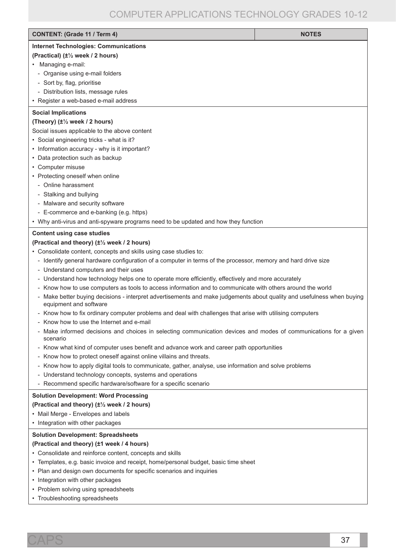| <b>CONTENT: (Grade 11 / Term 4)</b>                                                                                                              | <b>NOTES</b> |
|--------------------------------------------------------------------------------------------------------------------------------------------------|--------------|
| <b>Internet Technologies: Communications</b>                                                                                                     |              |
| (Practical) (±1/2 week / 2 hours)                                                                                                                |              |
| • Managing e-mail:                                                                                                                               |              |
| - Organise using e-mail folders                                                                                                                  |              |
| - Sort by, flag, prioritise                                                                                                                      |              |
| - Distribution lists, message rules                                                                                                              |              |
| • Register a web-based e-mail address                                                                                                            |              |
| <b>Social Implications</b>                                                                                                                       |              |
| (Theory) (±1/2 week / 2 hours)                                                                                                                   |              |
| Social issues applicable to the above content                                                                                                    |              |
| • Social engineering tricks - what is it?                                                                                                        |              |
| • Information accuracy - why is it important?                                                                                                    |              |
| • Data protection such as backup                                                                                                                 |              |
| • Computer misuse                                                                                                                                |              |
| • Protecting oneself when online                                                                                                                 |              |
| - Online harassment                                                                                                                              |              |
| - Stalking and bullying                                                                                                                          |              |
| - Malware and security software                                                                                                                  |              |
| - E-commerce and e-banking (e.g. https)                                                                                                          |              |
| • Why anti-virus and anti-spyware programs need to be updated and how they function                                                              |              |
|                                                                                                                                                  |              |
| <b>Content using case studies</b><br>(Practical and theory) (±1/2 week / 2 hours)                                                                |              |
|                                                                                                                                                  |              |
| • Consolidate content, concepts and skills using case studies to:                                                                                |              |
| - Identify general hardware configuration of a computer in terms of the processor, memory and hard drive size                                    |              |
| - Understand computers and their uses                                                                                                            |              |
| - Understand how technology helps one to operate more efficiently, effectively and more accurately                                               |              |
| - Know how to use computers as tools to access information and to communicate with others around the world                                       |              |
| - Make better buying decisions - interpret advertisements and make judgements about quality and usefulness when buying<br>equipment and software |              |
| - Know how to fix ordinary computer problems and deal with challenges that arise with utilising computers                                        |              |
| Know how to use the Internet and e-mail                                                                                                          |              |
| - Make informed decisions and choices in selecting communication devices and modes of communications for a given<br>scenario                     |              |
| - Know what kind of computer uses benefit and advance work and career path opportunities                                                         |              |
| - Know how to protect oneself against online villains and threats.                                                                               |              |
| - Know how to apply digital tools to communicate, gather, analyse, use information and solve problems                                            |              |
| - Understand technology concepts, systems and operations                                                                                         |              |
| - Recommend specific hardware/software for a specific scenario                                                                                   |              |
| <b>Solution Development: Word Processing</b>                                                                                                     |              |
| (Practical and theory) (±1/2 week / 2 hours)                                                                                                     |              |
| • Mail Merge - Envelopes and labels                                                                                                              |              |
| • Integration with other packages                                                                                                                |              |
| <b>Solution Development: Spreadsheets</b>                                                                                                        |              |
| (Practical and theory) (±1 week / 4 hours)                                                                                                       |              |
| • Consolidate and reinforce content, concepts and skills                                                                                         |              |
| • Templates, e.g. basic invoice and receipt, home/personal budget, basic time sheet                                                              |              |
| • Plan and design own documents for specific scenarios and inquiries                                                                             |              |
| • Integration with other packages                                                                                                                |              |
| • Problem solving using spreadsheets                                                                                                             |              |
| • Troubleshooting spreadsheets                                                                                                                   |              |

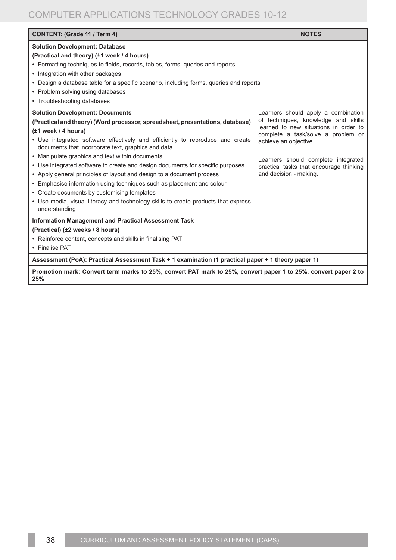| <b>CONTENT: (Grade 11 / Term 4)</b>                                                                                                                                                                                                                                                                                                                                                                                                                                                                                                                                                                                                                                                                                                 | <b>NOTES</b>                                                                                                                                                                                                                                                                                   |
|-------------------------------------------------------------------------------------------------------------------------------------------------------------------------------------------------------------------------------------------------------------------------------------------------------------------------------------------------------------------------------------------------------------------------------------------------------------------------------------------------------------------------------------------------------------------------------------------------------------------------------------------------------------------------------------------------------------------------------------|------------------------------------------------------------------------------------------------------------------------------------------------------------------------------------------------------------------------------------------------------------------------------------------------|
| <b>Solution Development: Database</b><br>(Practical and theory) (±1 week / 4 hours)<br>• Formatting techniques to fields, records, tables, forms, queries and reports<br>• Integration with other packages<br>• Design a database table for a specific scenario, including forms, queries and reports<br>• Problem solving using databases<br>• Troubleshooting databases                                                                                                                                                                                                                                                                                                                                                           |                                                                                                                                                                                                                                                                                                |
| <b>Solution Development: Documents</b><br>(Practical and theory) (Word processor, spreadsheet, presentations, database)<br>(±1 week / 4 hours)<br>• Use integrated software effectively and efficiently to reproduce and create<br>documents that incorporate text, graphics and data<br>• Manipulate graphics and text within documents.<br>• Use integrated software to create and design documents for specific purposes<br>• Apply general principles of layout and design to a document process<br>• Emphasise information using techniques such as placement and colour<br>• Create documents by customising templates<br>• Use media, visual literacy and technology skills to create products that express<br>understanding | Learners should apply a combination<br>of techniques, knowledge and skills<br>learned to new situations in order to<br>complete a task/solve a problem or<br>achieve an objective.<br>Learners should complete integrated<br>practical tasks that encourage thinking<br>and decision - making. |
| Information Management and Practical Assessment Task<br>(Practical) (±2 weeks / 8 hours)<br>• Reinforce content, concepts and skills in finalising PAT<br>• Finalise PAT<br>Assessment (PoA): Practical Assessment Task + 1 examination (1 practical paper + 1 theory paper 1)<br>Promotion mark: Convert term marks to 25%, convert PAT mark to 25%, convert paper 1 to 25%, convert paper 2 to<br>25%                                                                                                                                                                                                                                                                                                                             |                                                                                                                                                                                                                                                                                                |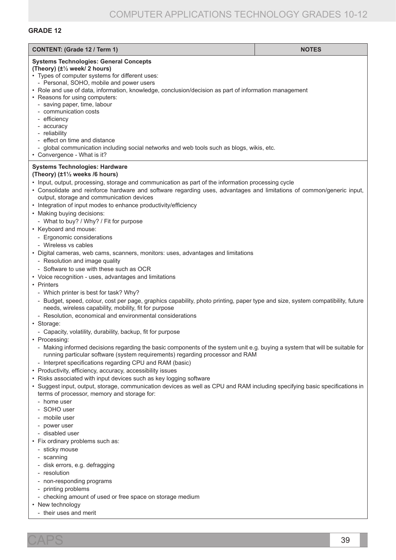### **Grade 12**

| <b>Systems Technologies: General Concepts</b><br>(Theory) (±1/2 week/ 2 hours)<br>• Types of computer systems for different uses:<br>- Personal, SOHO, mobile and power users<br>• Role and use of data, information, knowledge, conclusion/decision as part of information management<br>• Reasons for using computers:<br>- saving paper, time, labour<br>- communication costs<br>- efficiency<br>- accuracy<br>- reliability<br>- effect on time and distance<br>- global communication including social networks and web tools such as blogs, wikis, etc.<br>• Convergence - What is it?<br><b>Systems Technologies: Hardware</b><br>(Theory) (±1 <sup>1</sup> / <sub>2</sub> weeks /6 hours)<br>• Input, output, processing, storage and communication as part of the information processing cycle<br>• Consolidate and reinforce hardware and software regarding uses, advantages and limitations of common/generic input,<br>output, storage and communication devices<br>• Integration of input modes to enhance productivity/efficiency<br>• Making buying decisions:<br>- What to buy? / Why? / Fit for purpose<br>• Keyboard and mouse:<br>- Ergonomic considerations<br>- Wireless vs cables<br>• Digital cameras, web cams, scanners, monitors: uses, advantages and limitations<br>- Resolution and image quality<br>- Software to use with these such as OCR<br>• Voice recognition - uses, advantages and limitations<br>• Printers<br>- Which printer is best for task? Why?<br>- Budget, speed, colour, cost per page, graphics capability, photo printing, paper type and size, system compatibility, future<br>needs, wireless capability, mobility, fit for purpose<br>- Resolution, economical and environmental considerations<br>• Storage:<br>- Capacity, volatility, durability, backup, fit for purpose<br>• Processing:<br>- Making informed decisions regarding the basic components of the system unit e.g. buying a system that will be suitable for<br>running particular software (system requirements) regarding processor and RAM<br>- Interpret specifications regarding CPU and RAM (basic)<br>• Productivity, efficiency, accuracy, accessibility issues<br>• Risks associated with input devices such as key logging software<br>• Suggest input, output, storage, communication devices as well as CPU and RAM including specifying basic specifications in<br>terms of processor, memory and storage for:<br>- home user<br>- SOHO user<br>- mobile user<br>- power user<br>- disabled user<br>• Fix ordinary problems such as:<br>- sticky mouse<br>- scanning<br>- disk errors, e.g. defragging<br>- resolution<br>- non-responding programs<br>- printing problems<br>- checking amount of used or free space on storage medium<br>• New technology<br>- their uses and merit | <b>CONTENT: (Grade 12 / Term 1)</b> | <b>NOTES</b> |
|----------------------------------------------------------------------------------------------------------------------------------------------------------------------------------------------------------------------------------------------------------------------------------------------------------------------------------------------------------------------------------------------------------------------------------------------------------------------------------------------------------------------------------------------------------------------------------------------------------------------------------------------------------------------------------------------------------------------------------------------------------------------------------------------------------------------------------------------------------------------------------------------------------------------------------------------------------------------------------------------------------------------------------------------------------------------------------------------------------------------------------------------------------------------------------------------------------------------------------------------------------------------------------------------------------------------------------------------------------------------------------------------------------------------------------------------------------------------------------------------------------------------------------------------------------------------------------------------------------------------------------------------------------------------------------------------------------------------------------------------------------------------------------------------------------------------------------------------------------------------------------------------------------------------------------------------------------------------------------------------------------------------------------------------------------------------------------------------------------------------------------------------------------------------------------------------------------------------------------------------------------------------------------------------------------------------------------------------------------------------------------------------------------------------------------------------------------------------------------------------------------------------------------------------------------------------------------------------------------------------------------------------------------------------------------------------------------------------------------------------------------------------------------------------------------------------------|-------------------------------------|--------------|
|                                                                                                                                                                                                                                                                                                                                                                                                                                                                                                                                                                                                                                                                                                                                                                                                                                                                                                                                                                                                                                                                                                                                                                                                                                                                                                                                                                                                                                                                                                                                                                                                                                                                                                                                                                                                                                                                                                                                                                                                                                                                                                                                                                                                                                                                                                                                                                                                                                                                                                                                                                                                                                                                                                                                                                                                                            |                                     |              |
|                                                                                                                                                                                                                                                                                                                                                                                                                                                                                                                                                                                                                                                                                                                                                                                                                                                                                                                                                                                                                                                                                                                                                                                                                                                                                                                                                                                                                                                                                                                                                                                                                                                                                                                                                                                                                                                                                                                                                                                                                                                                                                                                                                                                                                                                                                                                                                                                                                                                                                                                                                                                                                                                                                                                                                                                                            |                                     |              |
|                                                                                                                                                                                                                                                                                                                                                                                                                                                                                                                                                                                                                                                                                                                                                                                                                                                                                                                                                                                                                                                                                                                                                                                                                                                                                                                                                                                                                                                                                                                                                                                                                                                                                                                                                                                                                                                                                                                                                                                                                                                                                                                                                                                                                                                                                                                                                                                                                                                                                                                                                                                                                                                                                                                                                                                                                            |                                     |              |
|                                                                                                                                                                                                                                                                                                                                                                                                                                                                                                                                                                                                                                                                                                                                                                                                                                                                                                                                                                                                                                                                                                                                                                                                                                                                                                                                                                                                                                                                                                                                                                                                                                                                                                                                                                                                                                                                                                                                                                                                                                                                                                                                                                                                                                                                                                                                                                                                                                                                                                                                                                                                                                                                                                                                                                                                                            |                                     |              |
|                                                                                                                                                                                                                                                                                                                                                                                                                                                                                                                                                                                                                                                                                                                                                                                                                                                                                                                                                                                                                                                                                                                                                                                                                                                                                                                                                                                                                                                                                                                                                                                                                                                                                                                                                                                                                                                                                                                                                                                                                                                                                                                                                                                                                                                                                                                                                                                                                                                                                                                                                                                                                                                                                                                                                                                                                            |                                     |              |
|                                                                                                                                                                                                                                                                                                                                                                                                                                                                                                                                                                                                                                                                                                                                                                                                                                                                                                                                                                                                                                                                                                                                                                                                                                                                                                                                                                                                                                                                                                                                                                                                                                                                                                                                                                                                                                                                                                                                                                                                                                                                                                                                                                                                                                                                                                                                                                                                                                                                                                                                                                                                                                                                                                                                                                                                                            |                                     |              |
|                                                                                                                                                                                                                                                                                                                                                                                                                                                                                                                                                                                                                                                                                                                                                                                                                                                                                                                                                                                                                                                                                                                                                                                                                                                                                                                                                                                                                                                                                                                                                                                                                                                                                                                                                                                                                                                                                                                                                                                                                                                                                                                                                                                                                                                                                                                                                                                                                                                                                                                                                                                                                                                                                                                                                                                                                            |                                     |              |
|                                                                                                                                                                                                                                                                                                                                                                                                                                                                                                                                                                                                                                                                                                                                                                                                                                                                                                                                                                                                                                                                                                                                                                                                                                                                                                                                                                                                                                                                                                                                                                                                                                                                                                                                                                                                                                                                                                                                                                                                                                                                                                                                                                                                                                                                                                                                                                                                                                                                                                                                                                                                                                                                                                                                                                                                                            |                                     |              |
|                                                                                                                                                                                                                                                                                                                                                                                                                                                                                                                                                                                                                                                                                                                                                                                                                                                                                                                                                                                                                                                                                                                                                                                                                                                                                                                                                                                                                                                                                                                                                                                                                                                                                                                                                                                                                                                                                                                                                                                                                                                                                                                                                                                                                                                                                                                                                                                                                                                                                                                                                                                                                                                                                                                                                                                                                            |                                     |              |

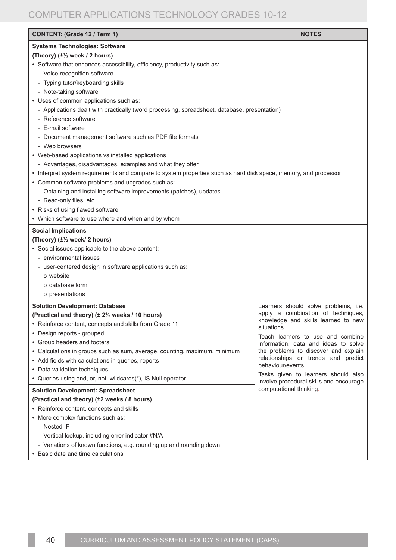| <b>CONTENT: (Grade 12 / Term 1)</b>                                                                             | <b>NOTES</b>                                                                   |  |  |  |
|-----------------------------------------------------------------------------------------------------------------|--------------------------------------------------------------------------------|--|--|--|
| <b>Systems Technologies: Software</b>                                                                           |                                                                                |  |  |  |
| (Theory) (±1/2 week / 2 hours)                                                                                  |                                                                                |  |  |  |
| • Software that enhances accessibility, efficiency, productivity such as:                                       |                                                                                |  |  |  |
| - Voice recognition software                                                                                    |                                                                                |  |  |  |
| - Typing tutor/keyboarding skills                                                                               |                                                                                |  |  |  |
| - Note-taking software                                                                                          |                                                                                |  |  |  |
| • Uses of common applications such as:                                                                          |                                                                                |  |  |  |
| - Applications dealt with practically (word processing, spreadsheet, database, presentation)                    |                                                                                |  |  |  |
| - Reference software                                                                                            |                                                                                |  |  |  |
| - E-mail software                                                                                               |                                                                                |  |  |  |
| - Document management software such as PDF file formats                                                         |                                                                                |  |  |  |
| - Web browsers                                                                                                  |                                                                                |  |  |  |
| • Web-based applications vs installed applications                                                              |                                                                                |  |  |  |
| - Advantages, disadvantages, examples and what they offer                                                       |                                                                                |  |  |  |
| • Interpret system requirements and compare to system properties such as hard disk space, memory, and processor |                                                                                |  |  |  |
| • Common software problems and upgrades such as:                                                                |                                                                                |  |  |  |
| - Obtaining and installing software improvements (patches), updates                                             |                                                                                |  |  |  |
| - Read-only files, etc.                                                                                         |                                                                                |  |  |  |
| • Risks of using flawed software                                                                                |                                                                                |  |  |  |
| • Which software to use where and when and by whom                                                              |                                                                                |  |  |  |
| <b>Social Implications</b>                                                                                      |                                                                                |  |  |  |
| (Theory) (±1/2 week/ 2 hours)                                                                                   |                                                                                |  |  |  |
| • Social issues applicable to the above content:                                                                |                                                                                |  |  |  |
| - environmental issues                                                                                          |                                                                                |  |  |  |
| - user-centered design in software applications such as:                                                        |                                                                                |  |  |  |
| o website                                                                                                       |                                                                                |  |  |  |
| o database form                                                                                                 |                                                                                |  |  |  |
| o presentations                                                                                                 |                                                                                |  |  |  |
| <b>Solution Development: Database</b>                                                                           | Learners should solve problems, i.e.                                           |  |  |  |
| (Practical and theory) (± 2 <sup>1</sup> / <sub>2</sub> weeks / 10 hours)                                       | apply a combination of techniques,                                             |  |  |  |
| • Reinforce content, concepts and skills from Grade 11                                                          | knowledge and skills learned to new<br>situations.                             |  |  |  |
| • Design reports - grouped                                                                                      | Teach learners to use and combine                                              |  |  |  |
| • Group headers and footers                                                                                     | information, data and ideas to solve                                           |  |  |  |
| • Calculations in groups such as sum, average, counting, maximum, minimum                                       | the problems to discover and explain                                           |  |  |  |
| • Add fields with calculations in queries, reports                                                              | relationships or trends and predict                                            |  |  |  |
| • Data validation techniques                                                                                    | behaviour/events,                                                              |  |  |  |
| • Queries using and, or, not, wildcards(*), IS Null operator                                                    | Tasks given to learners should also<br>involve procedural skills and encourage |  |  |  |
| <b>Solution Development: Spreadsheet</b>                                                                        | computational thinking.                                                        |  |  |  |
| (Practical and theory) (±2 weeks / 8 hours)                                                                     |                                                                                |  |  |  |
| • Reinforce content, concepts and skills                                                                        |                                                                                |  |  |  |
| • More complex functions such as:                                                                               |                                                                                |  |  |  |
| - Nested IF                                                                                                     |                                                                                |  |  |  |
| - Vertical lookup, including error indicator #N/A                                                               |                                                                                |  |  |  |
| - Variations of known functions, e.g. rounding up and rounding down                                             |                                                                                |  |  |  |
| • Basic date and time calculations                                                                              |                                                                                |  |  |  |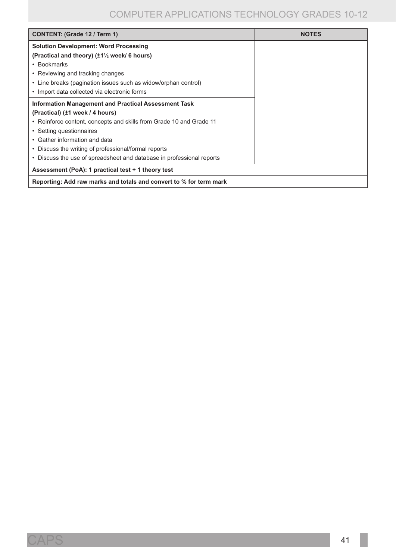| <b>CONTENT: (Grade 12 / Term 1)</b>                                   | <b>NOTES</b> |
|-----------------------------------------------------------------------|--------------|
| <b>Solution Development: Word Processing</b>                          |              |
| (Practical and theory) $(\pm 1\frac{1}{2})$ week/ 6 hours)            |              |
| • Bookmarks                                                           |              |
| • Reviewing and tracking changes                                      |              |
| • Line breaks (pagination issues such as widow/orphan control)        |              |
| • Import data collected via electronic forms                          |              |
| Information Management and Practical Assessment Task                  |              |
| (Practical) (±1 week / 4 hours)                                       |              |
| • Reinforce content, concepts and skills from Grade 10 and Grade 11   |              |
| • Setting questionnaires                                              |              |
| • Gather information and data                                         |              |
| • Discuss the writing of professional/formal reports                  |              |
| • Discuss the use of spreadsheet and database in professional reports |              |
| Assessment (PoA): 1 practical test + 1 theory test                    |              |
| Reporting: Add raw marks and totals and convert to % for term mark    |              |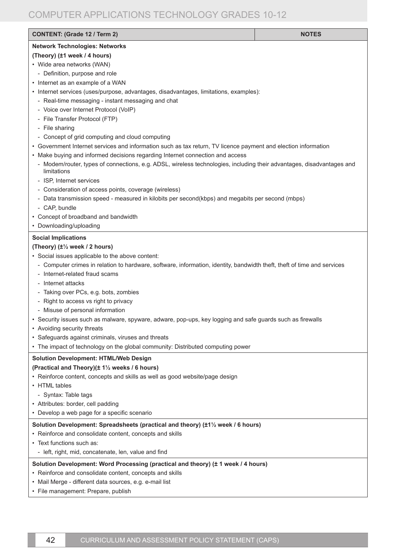| OMPUTER APPLICATIONS TECHNOLOGY GRADES 10-12                                                                                                                      |              |
|-------------------------------------------------------------------------------------------------------------------------------------------------------------------|--------------|
| <b>CONTENT: (Grade 12 / Term 2)</b>                                                                                                                               | <b>NOTES</b> |
| <b>Network Technologies: Networks</b>                                                                                                                             |              |
| (Theory) (±1 week / 4 hours)                                                                                                                                      |              |
| • Wide area networks (WAN)                                                                                                                                        |              |
| - Definition, purpose and role                                                                                                                                    |              |
| • Internet as an example of a WAN                                                                                                                                 |              |
| · Internet services (uses/purpose, advantages, disadvantages, limitations, examples):                                                                             |              |
| - Real-time messaging - instant messaging and chat                                                                                                                |              |
| - Voice over Internet Protocol (VoIP)                                                                                                                             |              |
| - File Transfer Protocol (FTP)                                                                                                                                    |              |
| - File sharing                                                                                                                                                    |              |
| - Concept of grid computing and cloud computing<br>• Government Internet services and information such as tax return, TV licence payment and election information |              |
| • Make buying and informed decisions regarding Internet connection and access                                                                                     |              |
| - Modem/router, types of connections, e.g. ADSL, wireless technologies, including their advantages, disadvantages and                                             |              |
| limitations                                                                                                                                                       |              |
| - ISP, Internet services                                                                                                                                          |              |
| - Consideration of access points, coverage (wireless)                                                                                                             |              |
| - Data transmission speed - measured in kilobits per second(kbps) and megabits per second (mbps)                                                                  |              |
| - CAP, bundle                                                                                                                                                     |              |
| • Concept of broadband and bandwidth                                                                                                                              |              |
| • Downloading/uploading                                                                                                                                           |              |
| <b>Social Implications</b>                                                                                                                                        |              |
| (Theory) (±1/2 week / 2 hours)                                                                                                                                    |              |
| • Social issues applicable to the above content:                                                                                                                  |              |
| - Computer crimes in relation to hardware, software, information, identity, bandwidth theft, theft of time and services                                           |              |
| - Internet-related fraud scams                                                                                                                                    |              |
| - Internet attacks                                                                                                                                                |              |
| - Taking over PCs, e.g. bots, zombies                                                                                                                             |              |
| - Right to access vs right to privacy                                                                                                                             |              |
| - Misuse of personal information                                                                                                                                  |              |
| • Security issues such as malware, spyware, adware, pop-ups, key logging and safe guards such as firewalls                                                        |              |
| • Avoiding security threats<br>• Safeguards against criminals, viruses and threats                                                                                |              |
| • The impact of technology on the global community: Distributed computing power                                                                                   |              |
| <b>Solution Development: HTML/Web Design</b>                                                                                                                      |              |
| (Practical and Theory)(± 11/2 weeks / 6 hours)                                                                                                                    |              |
| • Reinforce content, concepts and skills as well as good website/page design                                                                                      |              |
| • HTML tables                                                                                                                                                     |              |
| - Syntax: Table tags                                                                                                                                              |              |
| • Attributes: border, cell padding                                                                                                                                |              |
| • Develop a web page for a specific scenario                                                                                                                      |              |
| Solution Development: Spreadsheets (practical and theory) (±1 <sup>1</sup> / <sub>2</sub> week / 6 hours)                                                         |              |
| • Reinforce and consolidate content, concepts and skills                                                                                                          |              |
| • Text functions such as:                                                                                                                                         |              |
| - left, right, mid, concatenate, len, value and find                                                                                                              |              |
| Solution Development: Word Processing (practical and theory) (± 1 week / 4 hours)                                                                                 |              |
| • Reinforce and consolidate content, concepts and skills                                                                                                          |              |

- Mail Merge different data sources, e.g. e-mail list
- File management: Prepare, publish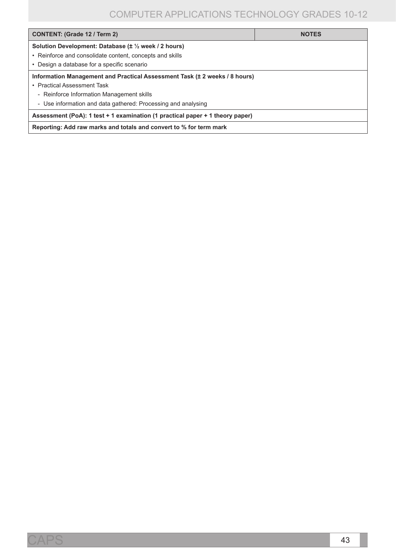| <b>CONTENT: (Grade 12 / Term 2)</b>                                           | <b>NOTES</b> |
|-------------------------------------------------------------------------------|--------------|
| Solution Development: Database (± 1/2 week / 2 hours)                         |              |
| • Reinforce and consolidate content, concepts and skills                      |              |
| • Design a database for a specific scenario                                   |              |
| Information Management and Practical Assessment Task (± 2 weeks / 8 hours)    |              |
| • Practical Assessment Task                                                   |              |
| - Reinforce Information Management skills                                     |              |
| - Use information and data gathered: Processing and analysing                 |              |
| Assessment (PoA): 1 test + 1 examination (1 practical paper + 1 theory paper) |              |
| Reporting: Add raw marks and totals and convert to % for term mark            |              |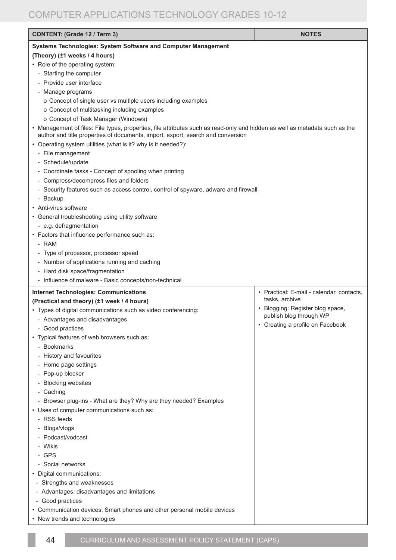| <b>CONTENT: (Grade 12 / Term 3)</b>                                                                                                                                                                            | <b>NOTES</b>                              |
|----------------------------------------------------------------------------------------------------------------------------------------------------------------------------------------------------------------|-------------------------------------------|
| Systems Technologies: System Software and Computer Management                                                                                                                                                  |                                           |
| (Theory) (±1 weeks / 4 hours)                                                                                                                                                                                  |                                           |
| • Role of the operating system:                                                                                                                                                                                |                                           |
| - Starting the computer                                                                                                                                                                                        |                                           |
| - Provide user interface                                                                                                                                                                                       |                                           |
| - Manage programs                                                                                                                                                                                              |                                           |
| o Concept of single user vs multiple users including examples                                                                                                                                                  |                                           |
| o Concept of multitasking including examples                                                                                                                                                                   |                                           |
| o Concept of Task Manager (Windows)                                                                                                                                                                            |                                           |
| • Management of files: File types, properties, file attributes such as read-only and hidden as well as metadata such as the<br>author and title properties of documents, import, export, search and conversion |                                           |
| • Operating system utilities (what is it? why is it needed?):                                                                                                                                                  |                                           |
| - File management                                                                                                                                                                                              |                                           |
| - Schedule/update                                                                                                                                                                                              |                                           |
| - Coordinate tasks - Concept of spooling when printing                                                                                                                                                         |                                           |
| - Compress/decompress files and folders                                                                                                                                                                        |                                           |
| - Security features such as access control, control of spyware, adware and firewall                                                                                                                            |                                           |
| - Backup                                                                                                                                                                                                       |                                           |
| • Anti-virus software                                                                                                                                                                                          |                                           |
| • General troubleshooting using utility software                                                                                                                                                               |                                           |
| - e.g. defragmentation                                                                                                                                                                                         |                                           |
| • Factors that influence performance such as:                                                                                                                                                                  |                                           |
| - RAM                                                                                                                                                                                                          |                                           |
| - Type of processor, processor speed                                                                                                                                                                           |                                           |
| - Number of applications running and caching                                                                                                                                                                   |                                           |
| - Hard disk space/fragmentation                                                                                                                                                                                |                                           |
| - Influence of malware - Basic concepts/non-technical                                                                                                                                                          |                                           |
| <b>Internet Technologies: Communications</b>                                                                                                                                                                   | • Practical: E-mail - calendar, contacts, |
| (Practical and theory) (±1 week / 4 hours)                                                                                                                                                                     | tasks, archive                            |
| • Types of digital communications such as video conferencing:                                                                                                                                                  | Blogging: Register blog space,            |
| - Advantages and disadvantages                                                                                                                                                                                 | publish blog through WP                   |
| - Good practices                                                                                                                                                                                               | • Creating a profile on Facebook          |
| • Typical features of web browsers such as:                                                                                                                                                                    |                                           |
| - Bookmarks                                                                                                                                                                                                    |                                           |
| - History and favourites                                                                                                                                                                                       |                                           |
| - Home page settings                                                                                                                                                                                           |                                           |
| - Pop-up blocker                                                                                                                                                                                               |                                           |
| - Blocking websites                                                                                                                                                                                            |                                           |
| - Caching                                                                                                                                                                                                      |                                           |
| - Browser plug-ins - What are they? Why are they needed? Examples                                                                                                                                              |                                           |
| • Uses of computer communications such as:                                                                                                                                                                     |                                           |
| - RSS feeds                                                                                                                                                                                                    |                                           |
| - Blogs/vlogs                                                                                                                                                                                                  |                                           |
| - Podcast/vodcast                                                                                                                                                                                              |                                           |
| - Wikis                                                                                                                                                                                                        |                                           |
| - GPS                                                                                                                                                                                                          |                                           |
| - Social networks                                                                                                                                                                                              |                                           |
| • Digital communications:                                                                                                                                                                                      |                                           |
| - Strengths and weaknesses                                                                                                                                                                                     |                                           |
| - Advantages, disadvantages and limitations                                                                                                                                                                    |                                           |
| Good practices                                                                                                                                                                                                 |                                           |
| • Communication devices: Smart phones and other personal mobile devices                                                                                                                                        |                                           |
| • New trends and technologies                                                                                                                                                                                  |                                           |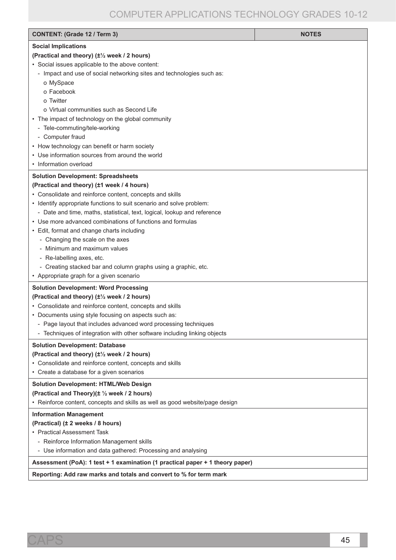| <b>CONTENT: (Grade 12 / Term 3)</b>                                           | <b>NOTES</b> |
|-------------------------------------------------------------------------------|--------------|
| <b>Social Implications</b>                                                    |              |
| (Practical and theory) (±1/2 week / 2 hours)                                  |              |
| • Social issues applicable to the above content:                              |              |
| - Impact and use of social networking sites and technologies such as:         |              |
| o MySpace                                                                     |              |
| o Facebook                                                                    |              |
| o Twitter                                                                     |              |
| o Virtual communities such as Second Life                                     |              |
| • The impact of technology on the global community                            |              |
| - Tele-commuting/tele-working                                                 |              |
| - Computer fraud                                                              |              |
| • How technology can benefit or harm society                                  |              |
| • Use information sources from around the world                               |              |
| • Information overload                                                        |              |
| <b>Solution Development: Spreadsheets</b>                                     |              |
| (Practical and theory) (±1 week / 4 hours)                                    |              |
| • Consolidate and reinforce content, concepts and skills                      |              |
| • Identify appropriate functions to suit scenario and solve problem:          |              |
| - Date and time, maths, statistical, text, logical, lookup and reference      |              |
| • Use more advanced combinations of functions and formulas                    |              |
| • Edit, format and change charts including                                    |              |
| - Changing the scale on the axes                                              |              |
| - Minimum and maximum values                                                  |              |
| - Re-labelling axes, etc.                                                     |              |
| - Creating stacked bar and column graphs using a graphic, etc.                |              |
| • Appropriate graph for a given scenario                                      |              |
| <b>Solution Development: Word Processing</b>                                  |              |
| (Practical and theory) (±1/2 week / 2 hours)                                  |              |
| • Consolidate and reinforce content, concepts and skills                      |              |
| • Documents using style focusing on aspects such as:                          |              |
| - Page layout that includes advanced word processing techniques               |              |
| - Techniques of integration with other software including linking objects     |              |
| <b>Solution Development: Database</b>                                         |              |
| (Practical and theory) (±1/2 week / 2 hours)                                  |              |
| • Consolidate and reinforce content, concepts and skills                      |              |
| • Create a database for a given scenarios                                     |              |
| <b>Solution Development: HTML/Web Design</b>                                  |              |
| (Practical and Theory)( $\pm \frac{1}{2}$ week / 2 hours)                     |              |
| • Reinforce content, concepts and skills as well as good website/page design  |              |
| <b>Information Management</b>                                                 |              |
| (Practical) (± 2 weeks / 8 hours)                                             |              |
| • Practical Assessment Task                                                   |              |
| - Reinforce Information Management skills                                     |              |
| - Use information and data gathered: Processing and analysing                 |              |
| Assessment (PoA): 1 test + 1 examination (1 practical paper + 1 theory paper) |              |
| Reporting: Add raw marks and totals and convert to % for term mark            |              |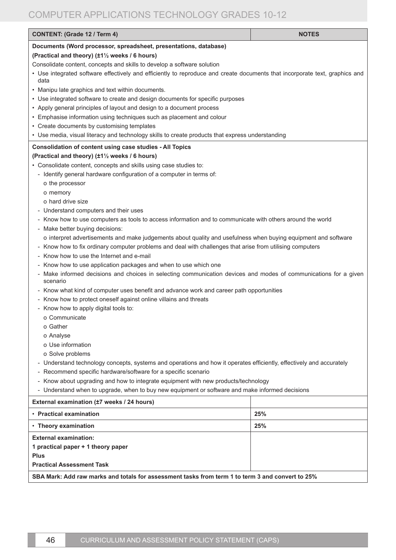| <b>CONTENT: (Grade 12 / Term 4)</b>                                                                                                 | <b>NOTES</b> |  |
|-------------------------------------------------------------------------------------------------------------------------------------|--------------|--|
| Documents (Word processor, spreadsheet, presentations, database)                                                                    |              |  |
| (Practical and theory) (±1 <sup>1</sup> / <sub>2</sub> weeks / 6 hours)                                                             |              |  |
| Consolidate content, concepts and skills to develop a software solution                                                             |              |  |
| • Use integrated software effectively and efficiently to reproduce and create documents that incorporate text, graphics and<br>data |              |  |
| • Manipu late graphics and text within documents.                                                                                   |              |  |
| • Use integrated software to create and design documents for specific purposes                                                      |              |  |
| • Apply general principles of layout and design to a document process                                                               |              |  |
| • Emphasise information using techniques such as placement and colour                                                               |              |  |
| • Create documents by customising templates                                                                                         |              |  |
| • Use media, visual literacy and technology skills to create products that express understanding                                    |              |  |
| <b>Consolidation of content using case studies - All Topics</b>                                                                     |              |  |
| (Practical and theory) (±1 <sup>1</sup> / <sub>2</sub> weeks / 6 hours)                                                             |              |  |
| • Consolidate content, concepts and skills using case studies to:                                                                   |              |  |
| - Identify general hardware configuration of a computer in terms of:                                                                |              |  |
| o the processor                                                                                                                     |              |  |
| o memory<br>o hard drive size                                                                                                       |              |  |
| - Understand computers and their uses                                                                                               |              |  |
| - Know how to use computers as tools to access information and to communicate with others around the world                          |              |  |
| - Make better buying decisions:                                                                                                     |              |  |
| o interpret advertisements and make judgements about quality and usefulness when buying equipment and software                      |              |  |
| - Know how to fix ordinary computer problems and deal with challenges that arise from utilising computers                           |              |  |
| - Know how to use the Internet and e-mail                                                                                           |              |  |
| - Know how to use application packages and when to use which one                                                                    |              |  |
| - Make informed decisions and choices in selecting communication devices and modes of communications for a given<br>scenario        |              |  |
| - Know what kind of computer uses benefit and advance work and career path opportunities                                            |              |  |
| - Know how to protect oneself against online villains and threats                                                                   |              |  |
| - Know how to apply digital tools to:                                                                                               |              |  |
| o Communicate                                                                                                                       |              |  |
| o Gather                                                                                                                            |              |  |
| o Analyse                                                                                                                           |              |  |
| o Use information                                                                                                                   |              |  |
| o Solve problems                                                                                                                    |              |  |
| - Understand technology concepts, systems and operations and how it operates efficiently, effectively and accurately                |              |  |
| - Recommend specific hardware/software for a specific scenario                                                                      |              |  |
| - Know about upgrading and how to integrate equipment with new products/technology                                                  |              |  |
| - Understand when to upgrade, when to buy new equipment or software and make informed decisions                                     |              |  |
| External examination (±7 weeks / 24 hours)                                                                                          |              |  |
| • Practical examination                                                                                                             | 25%          |  |
| • Theory examination                                                                                                                | 25%          |  |
| <b>External examination:</b>                                                                                                        |              |  |
| 1 practical paper + 1 theory paper                                                                                                  |              |  |
| <b>Plus</b>                                                                                                                         |              |  |
| <b>Practical Assessment Task</b>                                                                                                    |              |  |
| SBA Mark: Add raw marks and totals for assessment tasks from term 1 to term 3 and convert to 25%                                    |              |  |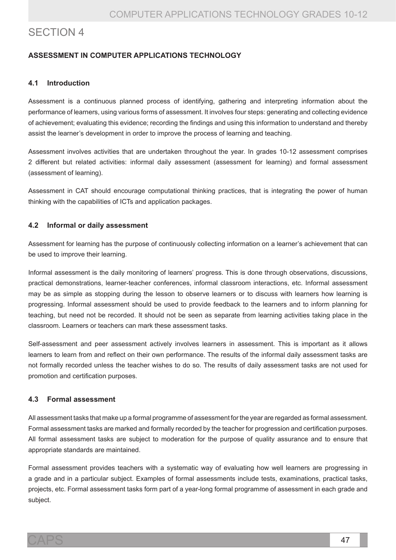# Section 4

### **Assessment in Computer Applications Technology**

### **4.1 Introduction**

Assessment is a continuous planned process of identifying, gathering and interpreting information about the performance of learners, using various forms of assessment. It involves four steps: generating and collecting evidence of achievement; evaluating this evidence; recording the findings and using this information to understand and thereby assist the learner's development in order to improve the process of learning and teaching.

Assessment involves activities that are undertaken throughout the year. In grades 10-12 assessment comprises 2 different but related activities: informal daily assessment (assessment for learning) and formal assessment (assessment of learning).

Assessment in CAT should encourage computational thinking practices, that is integrating the power of human thinking with the capabilities of ICTs and application packages.

### **4.2 Informal or daily assessment**

Assessment for learning has the purpose of continuously collecting information on a learner's achievement that can be used to improve their learning.

Informal assessment is the daily monitoring of learners' progress. This is done through observations, discussions, practical demonstrations, learner-teacher conferences, informal classroom interactions, etc. Informal assessment may be as simple as stopping during the lesson to observe learners or to discuss with learners how learning is progressing. Informal assessment should be used to provide feedback to the learners and to inform planning for teaching, but need not be recorded. It should not be seen as separate from learning activities taking place in the classroom. Learners or teachers can mark these assessment tasks.

Self-assessment and peer assessment actively involves learners in assessment. This is important as it allows learners to learn from and reflect on their own performance. The results of the informal daily assessment tasks are not formally recorded unless the teacher wishes to do so. The results of daily assessment tasks are not used for promotion and certification purposes.

### **4.3 Formal assessment**

All assessment tasks that make up a formal programme of assessment for the year are regarded as formal assessment. Formal assessment tasks are marked and formally recorded by the teacher for progression and certification purposes. All formal assessment tasks are subject to moderation for the purpose of quality assurance and to ensure that appropriate standards are maintained.

Formal assessment provides teachers with a systematic way of evaluating how well learners are progressing in a grade and in a particular subject. Examples of formal assessments include tests, examinations, practical tasks, projects, etc. Formal assessment tasks form part of a year-long formal programme of assessment in each grade and subject.

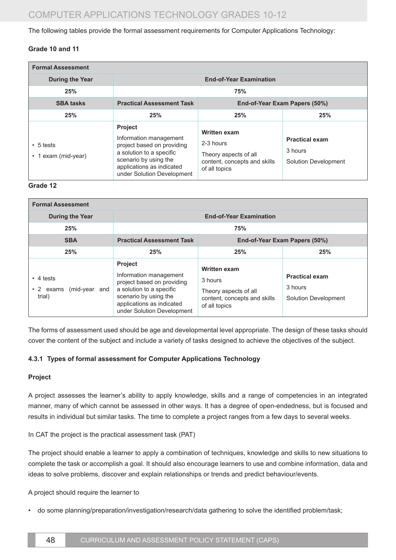The following tables provide the formal assessment requirements for Computer Applications Technology:

### **Grade 10 and 11**

| <b>Formal Assessment</b>                               |                                                                                                                                                                                        |                                                                                                            |                                                          |
|--------------------------------------------------------|----------------------------------------------------------------------------------------------------------------------------------------------------------------------------------------|------------------------------------------------------------------------------------------------------------|----------------------------------------------------------|
| <b>During the Year</b>                                 | <b>End-of-Year Examination</b>                                                                                                                                                         |                                                                                                            |                                                          |
| 25%                                                    | <b>75%</b>                                                                                                                                                                             |                                                                                                            |                                                          |
| <b>SBA tasks</b>                                       | <b>Practical Assessment Task</b><br>End-of-Year Exam Papers (50%)                                                                                                                      |                                                                                                            |                                                          |
| 25%                                                    | 25%                                                                                                                                                                                    | 25%                                                                                                        | 25%                                                      |
| 5 tests<br>$\bullet$<br>1 exam (mid-year)<br>$\bullet$ | <b>Project</b><br>Information management<br>project based on providing<br>a solution to a specific<br>scenario by using the<br>applications as indicated<br>under Solution Development | <b>Written exam</b><br>2-3 hours<br>Theory aspects of all<br>content, concepts and skills<br>of all topics | <b>Practical exam</b><br>3 hours<br>Solution Development |

#### **Grade 12**

| <b>Formal Assessment</b>                                |                                                                                                                                                                                        |                                                                                                          |                                                                 |
|---------------------------------------------------------|----------------------------------------------------------------------------------------------------------------------------------------------------------------------------------------|----------------------------------------------------------------------------------------------------------|-----------------------------------------------------------------|
| <b>During the Year</b>                                  |                                                                                                                                                                                        | <b>End-of-Year Examination</b>                                                                           |                                                                 |
| 25%                                                     | <b>75%</b>                                                                                                                                                                             |                                                                                                          |                                                                 |
| <b>SBA</b>                                              | <b>Practical Assessment Task</b>                                                                                                                                                       |                                                                                                          | End-of-Year Exam Papers (50%)                                   |
| 25%                                                     | 25%                                                                                                                                                                                    | 25%                                                                                                      | 25%                                                             |
| $\cdot$ 4 tests<br>• 2 exams (mid-year<br>and<br>trial) | <b>Project</b><br>Information management<br>project based on providing<br>a solution to a specific<br>scenario by using the<br>applications as indicated<br>under Solution Development | <b>Written exam</b><br>3 hours<br>Theory aspects of all<br>content, concepts and skills<br>of all topics | <b>Practical exam</b><br>3 hours<br><b>Solution Development</b> |

The forms of assessment used should be age and developmental level appropriate. The design of these tasks should cover the content of the subject and include a variety of tasks designed to achieve the objectives of the subject.

### **4.3.1 Types of formal assessment for Computer Applications Technology**

### **Project**

A project assesses the learner's ability to apply knowledge, skills and a range of competencies in an integrated manner, many of which cannot be assessed in other ways. It has a degree of open-endedness, but is focused and results in individual but similar tasks. The time to complete a project ranges from a few days to several weeks.

In CAT the project is the practical assessment task (PAT)

The project should enable a learner to apply a combination of techniques, knowledge and skills to new situations to complete the task or accomplish a goal. It should also encourage learners to use and combine information, data and ideas to solve problems, discover and explain relationships or trends and predict behaviour/events.

A project should require the learner to

• do some planning/preparation/investigation/research/data gathering to solve the identified problem/task;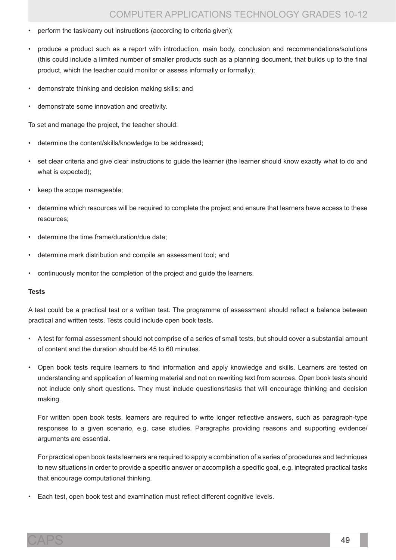- perform the task/carry out instructions (according to criteria given);
- produce a product such as a report with introduction, main body, conclusion and recommendations/solutions (this could include a limited number of smaller products such as a planning document, that builds up to the final product, which the teacher could monitor or assess informally or formally);
- demonstrate thinking and decision making skills; and
- demonstrate some innovation and creativity.

To set and manage the project, the teacher should:

- determine the content/skills/knowledge to be addressed;
- set clear criteria and give clear instructions to guide the learner (the learner should know exactly what to do and what is expected);
- keep the scope manageable;
- determine which resources will be required to complete the project and ensure that learners have access to these resources;
- determine the time frame/duration/due date;
- determine mark distribution and compile an assessment tool; and
- continuously monitor the completion of the project and guide the learners.

#### **Tests**

A test could be a practical test or a written test. The programme of assessment should reflect a balance between practical and written tests. Tests could include open book tests.

- A test for formal assessment should not comprise of a series of small tests, but should cover a substantial amount of content and the duration should be 45 to 60 minutes.
- Open book tests require learners to find information and apply knowledge and skills. Learners are tested on understanding and application of learning material and not on rewriting text from sources. Open book tests should not include only short questions. They must include questions/tasks that will encourage thinking and decision making.

For written open book tests, learners are required to write longer reflective answers, such as paragraph-type responses to a given scenario, e.g. case studies. Paragraphs providing reasons and supporting evidence/ arguments are essential.

For practical open book tests learners are required to apply a combination of a series of procedures and techniques to new situations in order to provide a specific answer or accomplish a specific goal, e.g. integrated practical tasks that encourage computational thinking.

• Each test, open book test and examination must reflect different cognitive levels.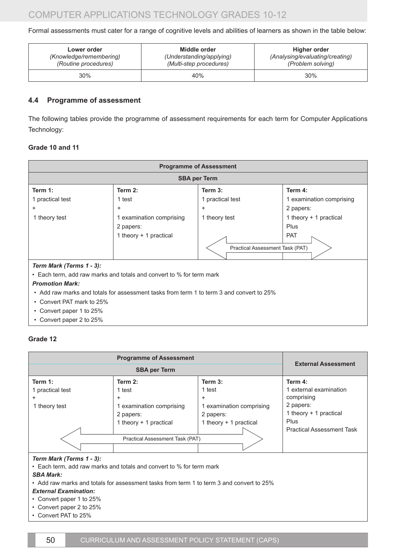Formal assessments must cater for a range of cognitive levels and abilities of learners as shown in the table below:

| Lower order             | Middle order             | Higher order                    |
|-------------------------|--------------------------|---------------------------------|
| (Knowledge/remembering) | (Understanding/applying) | (Analysing/evaluating/creating) |
| (Routine procedures)    | (Multi-step procedures)  | (Problem solving)               |
| $30\%$                  | 40%                      | $30\%$                          |

### **4.4 Programme of assessment**

The following tables provide the programme of assessment requirements for each term for Computer Applications Technology:

### **Grade 10 and 11**

| <b>Programme of Assessment</b> |                                                                                          |                                 |                          |
|--------------------------------|------------------------------------------------------------------------------------------|---------------------------------|--------------------------|
| <b>SBA per Term</b>            |                                                                                          |                                 |                          |
| Term 1:                        | Term 2:                                                                                  | Term 3:                         | Term 4:                  |
| 1 practical test               | 1 test                                                                                   | 1 practical test                | 1 examination comprising |
| +                              | $\ddot{}$                                                                                | $\ddot{}$                       | 2 papers:                |
| 1 theory test                  | 1 examination comprising                                                                 | 1 theory test                   | 1 theory $+$ 1 practical |
|                                | 2 papers:                                                                                |                                 | Plus                     |
|                                | 1 theory + 1 practical                                                                   |                                 | <b>PAT</b>               |
|                                |                                                                                          | Practical Assessment Task (PAT) |                          |
|                                |                                                                                          |                                 |                          |
| Term Mark (Terms 1 - 3):       |                                                                                          |                                 |                          |
|                                | • Each term, add raw marks and totals and convert to % for term mark                     |                                 |                          |
| <b>Promotion Mark:</b>         |                                                                                          |                                 |                          |
|                                | • Add raw marks and totals for assessment tasks from term 1 to term 3 and convert to 25% |                                 |                          |
| • Convert PAT mark to 25%      |                                                                                          |                                 |                          |
| • Convert paper 1 to 25%       |                                                                                          |                                 |                          |
|                                |                                                                                          |                                 |                          |

• Convert paper 2 to 25%

### **Grade 12**

| <b>SBA per Term</b><br>Term 1:<br>Term 3:<br>Term 2:                                                                                         | <b>External Assessment</b>                                         |
|----------------------------------------------------------------------------------------------------------------------------------------------|--------------------------------------------------------------------|
|                                                                                                                                              |                                                                    |
| 1 practical test<br>1 test<br>1 test<br>$\ddot{}$<br>$\ddot{}$<br>+<br>1 examination comprising<br>1 examination comprising<br>1 theory test | Term 4:<br>1 external examination<br>comprising<br>2 papers:       |
| 2 papers:<br>2 papers:<br>1 theory + 1 practical<br>1 theory + 1 practical<br>Practical Assessment Task (PAT)                                | 1 theory + 1 practical<br>Plus<br><b>Practical Assessment Task</b> |

#### *Term Mark (Terms 1 - 3):*

• Each term, add raw marks and totals and convert to % for term mark

#### *SBA Mark:*

• Add raw marks and totals for assessment tasks from term 1 to term 3 and convert to 25%

#### *External Examination:*

- Convert paper 1 to 25%
- Convert paper 2 to 25%
- Convert PAT to 25%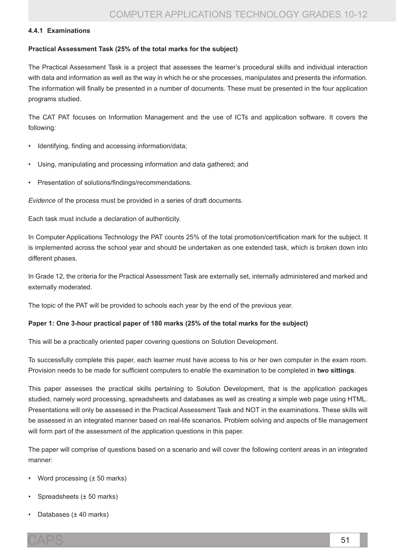### **4.4.1 Examinations**

### **Practical Assessment Task (25% of the total marks for the subject)**

The Practical Assessment Task is a project that assesses the learner's procedural skills and individual interaction with data and information as well as the way in which he or she processes, manipulates and presents the information. The information will finally be presented in a number of documents. These must be presented in the four application programs studied.

The CAT PAT focuses on Information Management and the use of ICTs and application software. It covers the following:

- Identifying, finding and accessing information/data;
- Using, manipulating and processing information and data gathered; and
- Presentation of solutions/findings/recommendations.

*Evidence* of the process must be provided in a series of draft documents.

Each task must include a declaration of authenticity.

In Computer Applications Technology the PAT counts 25% of the total promotion/certification mark for the subject. It is implemented across the school year and should be undertaken as one extended task, which is broken down into different phases.

In Grade 12, the criteria for the Practical Assessment Task are externally set, internally administered and marked and externally moderated.

The topic of the PAT will be provided to schools each year by the end of the previous year.

#### **Paper 1: One 3-hour practical paper of 180 marks (25% of the total marks for the subject)**

This will be a practically oriented paper covering questions on Solution Development.

To successfully complete this paper, each learner must have access to his or her own computer in the exam room. Provision needs to be made for sufficient computers to enable the examination to be completed in **two sittings**.

This paper assesses the practical skills pertaining to Solution Development, that is the application packages studied, namely word processing, spreadsheets and databases as well as creating a simple web page using HTML. Presentations will only be assessed in the Practical Assessment Task and NOT in the examinations. These skills will be assessed in an integrated manner based on real-life scenarios. Problem solving and aspects of file management will form part of the assessment of the application questions in this paper.

The paper will comprise of questions based on a scenario and will cover the following content areas in an integrated manner:

- Word processing  $(\pm 50 \text{ marks})$
- Spreadsheets (± 50 marks)
- Databases (± 40 marks)

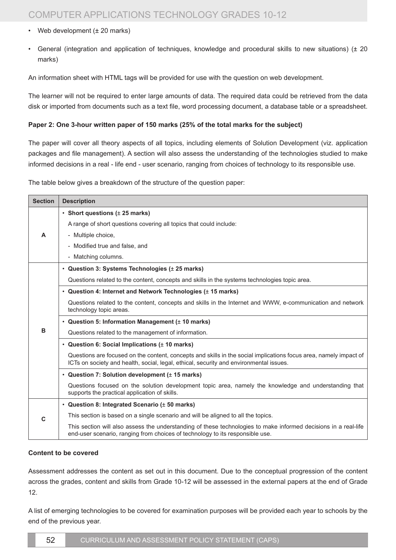- Web development  $(\pm 20 \text{ marks})$
- General (integration and application of techniques, knowledge and procedural skills to new situations) (± 20 marks)

An information sheet with HTML tags will be provided for use with the question on web development.

The learner will not be required to enter large amounts of data. The required data could be retrieved from the data disk or imported from documents such as a text file, word processing document, a database table or a spreadsheet.

### **Paper 2: One 3-hour written paper of 150 marks (25% of the total marks for the subject)**

The paper will cover all theory aspects of all topics, including elements of Solution Development (viz. application packages and file management). A section will also assess the understanding of the technologies studied to make informed decisions in a real - life end - user scenario, ranging from choices of technology to its responsible use.

The table below gives a breakdown of the structure of the question paper:

| <b>Section</b> | <b>Description</b>                                                                                                                                                                                          |
|----------------|-------------------------------------------------------------------------------------------------------------------------------------------------------------------------------------------------------------|
|                | • Short questions $(\pm 25$ marks)                                                                                                                                                                          |
|                | A range of short questions covering all topics that could include:                                                                                                                                          |
| A              | - Multiple choice,                                                                                                                                                                                          |
|                | - Modified true and false, and                                                                                                                                                                              |
|                | - Matching columns.                                                                                                                                                                                         |
|                | • Question 3: Systems Technologies (± 25 marks)                                                                                                                                                             |
|                | Questions related to the content, concepts and skills in the systems technologies topic area.                                                                                                               |
|                | • Question 4: Internet and Network Technologies (± 15 marks)                                                                                                                                                |
|                | Questions related to the content, concepts and skills in the Internet and WWW, e-communication and network<br>technology topic areas.                                                                       |
|                | • Question 5: Information Management $(\pm 10 \text{ marks})$                                                                                                                                               |
| B              | Questions related to the management of information.                                                                                                                                                         |
|                | • Question 6: Social Implications (± 10 marks)                                                                                                                                                              |
|                | Questions are focused on the content, concepts and skills in the social implications focus area, namely impact of<br>ICTs on society and health, social, legal, ethical, security and environmental issues. |
|                | • Question 7: Solution development (± 15 marks)                                                                                                                                                             |
|                | Questions focused on the solution development topic area, namely the knowledge and understanding that<br>supports the practical application of skills.                                                      |
|                | • Question 8: Integrated Scenario (± 50 marks)                                                                                                                                                              |
| C              | This section is based on a single scenario and will be aligned to all the topics.                                                                                                                           |
|                | This section will also assess the understanding of these technologies to make informed decisions in a real-life<br>end-user scenario, ranging from choices of technology to its responsible use.            |

#### **Content to be covered**

Assessment addresses the content as set out in this document. Due to the conceptual progression of the content across the grades, content and skills from Grade 10-12 will be assessed in the external papers at the end of Grade 12.

A list of emerging technologies to be covered for examination purposes will be provided each year to schools by the end of the previous year.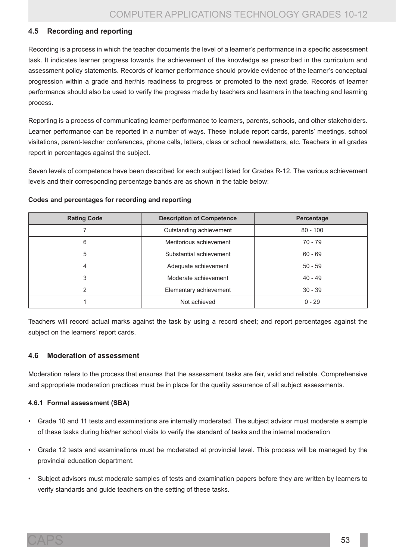### **4.5 Recording and reporting**

Recording is a process in which the teacher documents the level of a learner's performance in a specific assessment task. It indicates learner progress towards the achievement of the knowledge as prescribed in the curriculum and assessment policy statements. Records of learner performance should provide evidence of the learner's conceptual progression within a grade and her/his readiness to progress or promoted to the next grade. Records of learner performance should also be used to verify the progress made by teachers and learners in the teaching and learning process.

Reporting is a process of communicating learner performance to learners, parents, schools, and other stakeholders. Learner performance can be reported in a number of ways. These include report cards, parents' meetings, school visitations, parent-teacher conferences, phone calls, letters, class or school newsletters, etc. Teachers in all grades report in percentages against the subject.

Seven levels of competence have been described for each subject listed for Grades R-12. The various achievement levels and their corresponding percentage bands are as shown in the table below:

| <b>Rating Code</b> | <b>Description of Competence</b> | Percentage |
|--------------------|----------------------------------|------------|
|                    | Outstanding achievement          | $80 - 100$ |
| 6                  | Meritorious achievement          | $70 - 79$  |
| 5                  | Substantial achievement          | $60 - 69$  |
| 4                  | Adequate achievement             | $50 - 59$  |
| 3                  | Moderate achievement             | $40 - 49$  |
| 2                  | Elementary achievement           | $30 - 39$  |
|                    | Not achieved                     | $0 - 29$   |

#### **Codes and percentages for recording and reporting**

Teachers will record actual marks against the task by using a record sheet; and report percentages against the subject on the learners' report cards.

### **4.6 Moderation of assessment**

Moderation refers to the process that ensures that the assessment tasks are fair, valid and reliable. Comprehensive and appropriate moderation practices must be in place for the quality assurance of all subject assessments.

### **4.6.1 Formal assessment (SBA)**

- Grade 10 and 11 tests and examinations are internally moderated. The subject advisor must moderate a sample of these tasks during his/her school visits to verify the standard of tasks and the internal moderation
- Grade 12 tests and examinations must be moderated at provincial level. This process will be managed by the provincial education department.
- Subject advisors must moderate samples of tests and examination papers before they are written by learners to verify standards and guide teachers on the setting of these tasks.

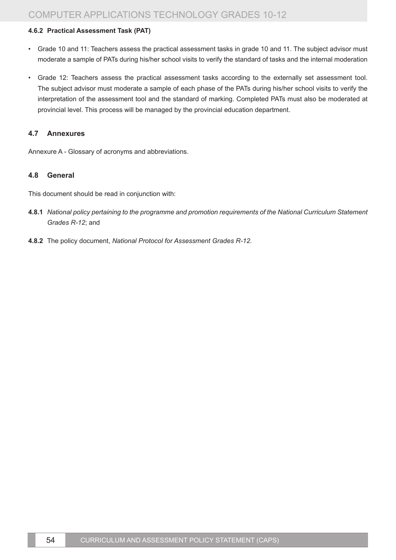### **4.6.2 Practical Assessment Task (PAT)**

- Grade 10 and 11: Teachers assess the practical assessment tasks in grade 10 and 11. The subject advisor must moderate a sample of PATs during his/her school visits to verify the standard of tasks and the internal moderation
- Grade 12: Teachers assess the practical assessment tasks according to the externally set assessment tool. The subject advisor must moderate a sample of each phase of the PATs during his/her school visits to verify the interpretation of the assessment tool and the standard of marking. Completed PATs must also be moderated at provincial level. This process will be managed by the provincial education department.

### **4.7 Annexures**

Annexure A - Glossary of acronyms and abbreviations.

### **4.8 General**

This document should be read in conjunction with:

- **4.8.1** *National policy pertaining to the programme and promotion requirements of the National Curriculum Statement Grades R-12*; and
- **4.8.2** The policy document, *National Protocol for Assessment Grades R-12.*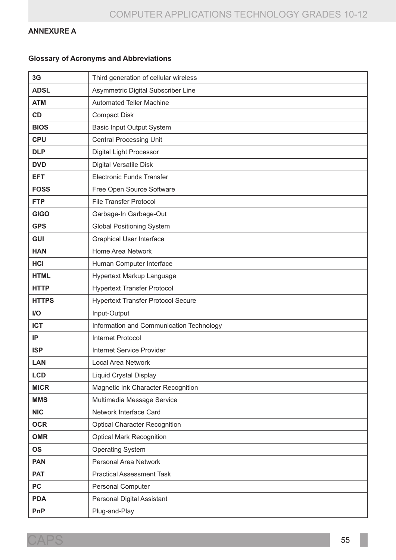### **Annexure A**

### **Glossary of Acronyms and Abbreviations**

| 3G           | Third generation of cellular wireless     |
|--------------|-------------------------------------------|
| <b>ADSL</b>  | Asymmetric Digital Subscriber Line        |
| <b>ATM</b>   | <b>Automated Teller Machine</b>           |
| <b>CD</b>    | <b>Compact Disk</b>                       |
| <b>BIOS</b>  | <b>Basic Input Output System</b>          |
| <b>CPU</b>   | <b>Central Processing Unit</b>            |
| <b>DLP</b>   | <b>Digital Light Processor</b>            |
| <b>DVD</b>   | <b>Digital Versatile Disk</b>             |
| <b>EFT</b>   | <b>Electronic Funds Transfer</b>          |
| <b>FOSS</b>  | Free Open Source Software                 |
| <b>FTP</b>   | <b>File Transfer Protocol</b>             |
| <b>GIGO</b>  | Garbage-In Garbage-Out                    |
| <b>GPS</b>   | <b>Global Positioning System</b>          |
| <b>GUI</b>   | <b>Graphical User Interface</b>           |
| <b>HAN</b>   | Home Area Network                         |
| <b>HCI</b>   | Human Computer Interface                  |
| <b>HTML</b>  | Hypertext Markup Language                 |
| <b>HTTP</b>  | <b>Hypertext Transfer Protocol</b>        |
| <b>HTTPS</b> | <b>Hypertext Transfer Protocol Secure</b> |
| I/O          | Input-Output                              |
| <b>ICT</b>   | Information and Communication Technology  |
| IP           | <b>Internet Protocol</b>                  |
| <b>ISP</b>   | <b>Internet Service Provider</b>          |
| <b>LAN</b>   | <b>Local Area Network</b>                 |
| <b>LCD</b>   | <b>Liquid Crystal Display</b>             |
| <b>MICR</b>  | Magnetic Ink Character Recognition        |
| <b>MMS</b>   | Multimedia Message Service                |
| <b>NIC</b>   | Network Interface Card                    |
| <b>OCR</b>   | <b>Optical Character Recognition</b>      |
| <b>OMR</b>   | <b>Optical Mark Recognition</b>           |
| <b>OS</b>    | <b>Operating System</b>                   |
| <b>PAN</b>   | Personal Area Network                     |
| <b>PAT</b>   | <b>Practical Assessment Task</b>          |
| <b>PC</b>    | Personal Computer                         |
| <b>PDA</b>   | Personal Digital Assistant                |
| PnP          | Plug-and-Play                             |